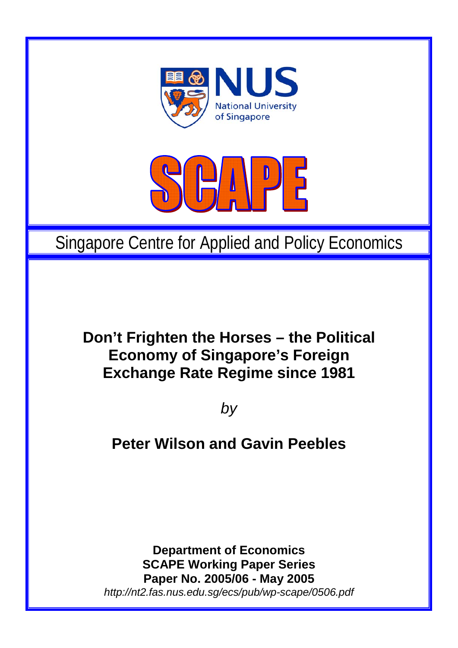

# Singapore Centre for Applied and Policy Economics

## **Don't Frighten the Horses – the Political Economy of Singapore's Foreign Exchange Rate Regime since 1981**

*by* 

## **Peter Wilson and Gavin Peebles**

**Department of Economics SCAPE Working Paper Series Paper No. 2005/06 - May 2005**  *http://nt2.fas.nus.edu.sg/ecs/pub/wp-scape/0506.pdf*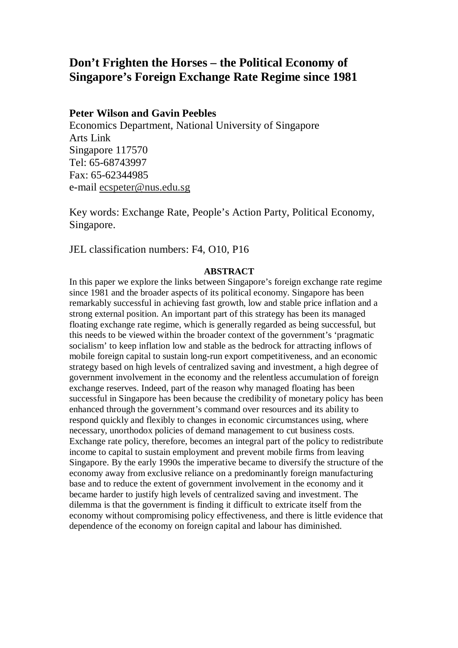## **Don't Frighten the Horses – the Political Economy of Singapore's Foreign Exchange Rate Regime since 1981**

## **Peter Wilson and Gavin Peebles**

Economics Department, National University of Singapore Arts Link Singapore 117570 Tel: 65-68743997 Fax: 65-62344985 e-mail ecspeter@nus.edu.sg

Key words: Exchange Rate, People's Action Party, Political Economy, Singapore.

JEL classification numbers: F4, O10, P16

## **ABSTRACT**

In this paper we explore the links between Singapore's foreign exchange rate regime since 1981 and the broader aspects of its political economy. Singapore has been remarkably successful in achieving fast growth, low and stable price inflation and a strong external position. An important part of this strategy has been its managed floating exchange rate regime, which is generally regarded as being successful, but this needs to be viewed within the broader context of the government's 'pragmatic socialism' to keep inflation low and stable as the bedrock for attracting inflows of mobile foreign capital to sustain long-run export competitiveness, and an economic strategy based on high levels of centralized saving and investment, a high degree of government involvement in the economy and the relentless accumulation of foreign exchange reserves. Indeed, part of the reason why managed floating has been successful in Singapore has been because the credibility of monetary policy has been enhanced through the government's command over resources and its ability to respond quickly and flexibly to changes in economic circumstances using, where necessary, unorthodox policies of demand management to cut business costs. Exchange rate policy, therefore, becomes an integral part of the policy to redistribute income to capital to sustain employment and prevent mobile firms from leaving Singapore. By the early 1990s the imperative became to diversify the structure of the economy away from exclusive reliance on a predominantly foreign manufacturing base and to reduce the extent of government involvement in the economy and it became harder to justify high levels of centralized saving and investment. The dilemma is that the government is finding it difficult to extricate itself from the economy without compromising policy effectiveness, and there is little evidence that dependence of the economy on foreign capital and labour has diminished.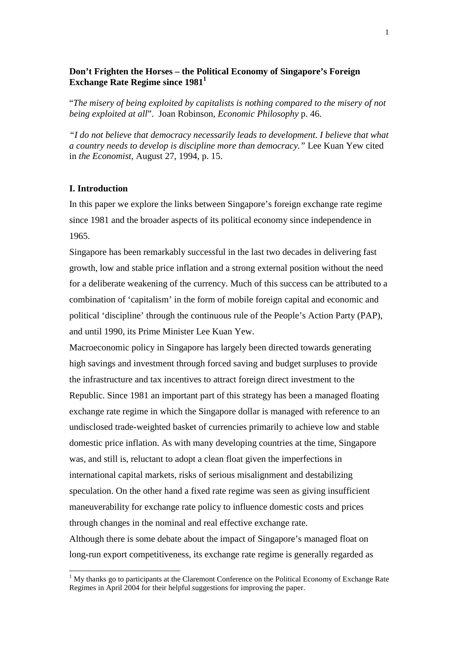## **Don't Frighten the Horses – the Political Economy of Singapore's Foreign Exchange Rate Regime since 1981**

"*The misery of being exploited by capitalists is nothing compared to the misery of not being exploited at all*". Joan Robinson, *Economic Philosophy* p. 46.

*"I do not believe that democracy necessarily leads to development. I believe that what a country needs to develop is discipline more than democracy."* Lee Kuan Yew cited in *the Economist*, August 27, 1994, p. 15.

## **I. Introduction**

 $\overline{a}$ 

In this paper we explore the links between Singapore's foreign exchange rate regime since 1981 and the broader aspects of its political economy since independence in 1965.

Singapore has been remarkably successful in the last two decades in delivering fast growth, low and stable price inflation and a strong external position without the need for a deliberate weakening of the currency. Much of this success can be attributed to a combination of 'capitalism' in the form of mobile foreign capital and economic and political 'discipline' through the continuous rule of the People's Action Party (PAP), and until 1990, its Prime Minister Lee Kuan Yew.

Macroeconomic policy in Singapore has largely been directed towards generating high savings and investment through forced saving and budget surpluses to provide the infrastructure and tax incentives to attract foreign direct investment to the Republic. Since 1981 an important part of this strategy has been a managed floating exchange rate regime in which the Singapore dollar is managed with reference to an undisclosed trade-weighted basket of currencies primarily to achieve low and stable domestic price inflation. As with many developing countries at the time, Singapore was, and still is, reluctant to adopt a clean float given the imperfections in international capital markets, risks of serious misalignment and destabilizing speculation. On the other hand a fixed rate regime was seen as giving insufficient maneuverability for exchange rate policy to influence domestic costs and prices through changes in the nominal and real effective exchange rate. Although there is some debate about the impact of Singapore's managed float on

long-run export competitiveness, its exchange rate regime is generally regarded as

<sup>&</sup>lt;sup>1</sup> My thanks go to participants at the Claremont Conference on the Political Economy of Exchange Rate Regimes in April 2004 for their helpful suggestions for improving the paper.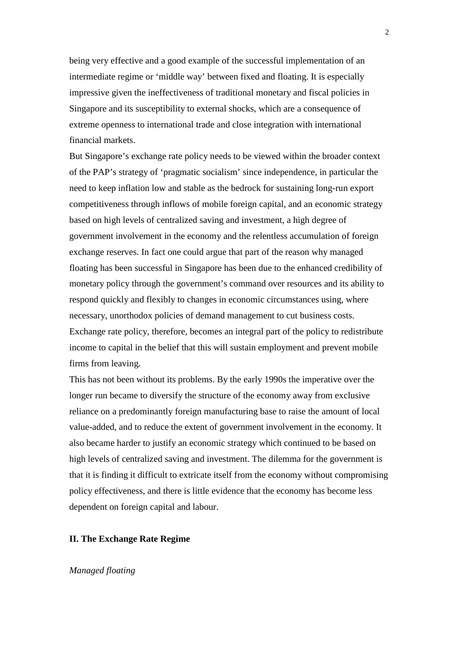being very effective and a good example of the successful implementation of an intermediate regime or 'middle way' between fixed and floating. It is especially impressive given the ineffectiveness of traditional monetary and fiscal policies in Singapore and its susceptibility to external shocks, which are a consequence of extreme openness to international trade and close integration with international financial markets.

But Singapore's exchange rate policy needs to be viewed within the broader context of the PAP's strategy of 'pragmatic socialism' since independence, in particular the need to keep inflation low and stable as the bedrock for sustaining long-run export competitiveness through inflows of mobile foreign capital, and an economic strategy based on high levels of centralized saving and investment, a high degree of government involvement in the economy and the relentless accumulation of foreign exchange reserves. In fact one could argue that part of the reason why managed floating has been successful in Singapore has been due to the enhanced credibility of monetary policy through the government's command over resources and its ability to respond quickly and flexibly to changes in economic circumstances using, where necessary, unorthodox policies of demand management to cut business costs. Exchange rate policy, therefore, becomes an integral part of the policy to redistribute income to capital in the belief that this will sustain employment and prevent mobile firms from leaving.

This has not been without its problems. By the early 1990s the imperative over the longer run became to diversify the structure of the economy away from exclusive reliance on a predominantly foreign manufacturing base to raise the amount of local value-added, and to reduce the extent of government involvement in the economy. It also became harder to justify an economic strategy which continued to be based on high levels of centralized saving and investment. The dilemma for the government is that it is finding it difficult to extricate itself from the economy without compromising policy effectiveness, and there is little evidence that the economy has become less dependent on foreign capital and labour.

## **II. The Exchange Rate Regime**

## *Managed floating*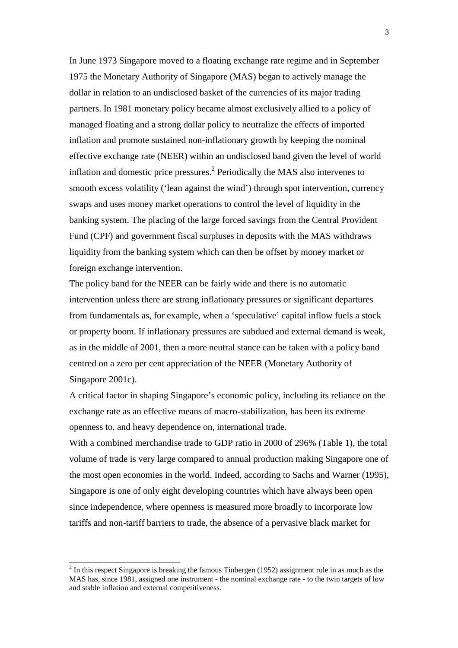In June 1973 Singapore moved to a floating exchange rate regime and in September 1975 the Monetary Authority of Singapore (MAS) began to actively manage the dollar in relation to an undisclosed basket of the currencies of its major trading partners. In 1981 monetary policy became almost exclusively allied to a policy of managed floating and a strong dollar policy to neutralize the effects of imported inflation and promote sustained non-inflationary growth by keeping the nominal effective exchange rate (NEER) within an undisclosed band given the level of world inflation and domestic price pressures. $^2$  Periodically the MAS also intervenes to smooth excess volatility ('lean against the wind') through spot intervention, currency swaps and uses money market operations to control the level of liquidity in the banking system. The placing of the large forced savings from the Central Provident Fund (CPF) and government fiscal surpluses in deposits with the MAS withdraws liquidity from the banking system which can then be offset by money market or foreign exchange intervention.

The policy band for the NEER can be fairly wide and there is no automatic intervention unless there are strong inflationary pressures or significant departures from fundamentals as, for example, when a 'speculative' capital inflow fuels a stock or property boom. If inflationary pressures are subdued and external demand is weak, as in the middle of 2001, then a more neutral stance can be taken with a policy band centred on a zero per cent appreciation of the NEER (Monetary Authority of Singapore 2001c).

A critical factor in shaping Singapore's economic policy, including its reliance on the exchange rate as an effective means of macro-stabilization, has been its extreme openness to, and heavy dependence on, international trade.

With a combined merchandise trade to GDP ratio in 2000 of 296% (Table 1), the total volume of trade is very large compared to annual production making Singapore one of the most open economies in the world. Indeed, according to Sachs and Warner (1995), Singapore is one of only eight developing countries which have always been open since independence, where openness is measured more broadly to incorporate low tariffs and non-tariff barriers to trade, the absence of a pervasive black market for

 $2^{2}$  In this respect Singapore is breaking the famous Tinbergen (1952) assignment rule in as much as the MAS has, since 1981, assigned one instrument - the nominal exchange rate - to the twin targets of low and stable inflation and external competitiveness.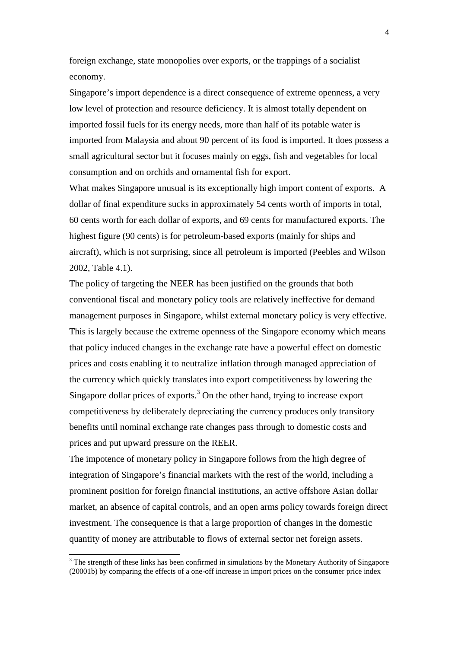foreign exchange, state monopolies over exports, or the trappings of a socialist economy.

Singapore's import dependence is a direct consequence of extreme openness, a very low level of protection and resource deficiency. It is almost totally dependent on imported fossil fuels for its energy needs, more than half of its potable water is imported from Malaysia and about 90 percent of its food is imported. It does possess a small agricultural sector but it focuses mainly on eggs, fish and vegetables for local consumption and on orchids and ornamental fish for export.

What makes Singapore unusual is its exceptionally high import content of exports. A dollar of final expenditure sucks in approximately 54 cents worth of imports in total, 60 cents worth for each dollar of exports, and 69 cents for manufactured exports. The highest figure (90 cents) is for petroleum-based exports (mainly for ships and aircraft), which is not surprising, since all petroleum is imported (Peebles and Wilson 2002, Table 4.1).

The policy of targeting the NEER has been justified on the grounds that both conventional fiscal and monetary policy tools are relatively ineffective for demand management purposes in Singapore, whilst external monetary policy is very effective. This is largely because the extreme openness of the Singapore economy which means that policy induced changes in the exchange rate have a powerful effect on domestic prices and costs enabling it to neutralize inflation through managed appreciation of the currency which quickly translates into export competitiveness by lowering the Singapore dollar prices of exports.<sup>3</sup> On the other hand, trying to increase export competitiveness by deliberately depreciating the currency produces only transitory benefits until nominal exchange rate changes pass through to domestic costs and prices and put upward pressure on the REER.

The impotence of monetary policy in Singapore follows from the high degree of integration of Singapore's financial markets with the rest of the world, including a prominent position for foreign financial institutions, an active offshore Asian dollar market, an absence of capital controls, and an open arms policy towards foreign direct investment. The consequence is that a large proportion of changes in the domestic quantity of money are attributable to flows of external sector net foreign assets.

l

 $3$  The strength of these links has been confirmed in simulations by the Monetary Authority of Singapore (20001b) by comparing the effects of a one-off increase in import prices on the consumer price index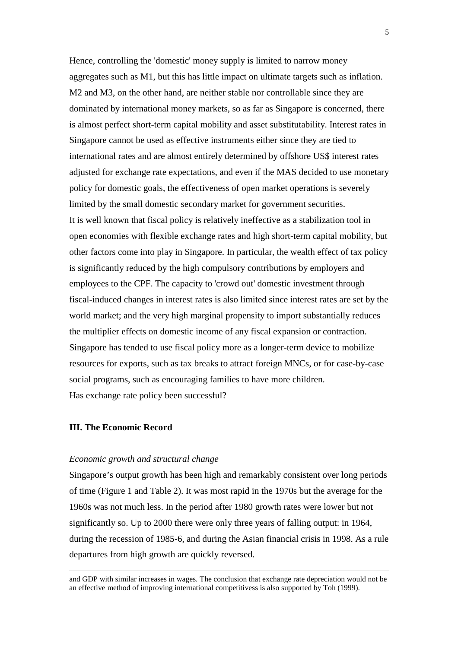Hence, controlling the 'domestic' money supply is limited to narrow money aggregates such as M1, but this has little impact on ultimate targets such as inflation. M2 and M3, on the other hand, are neither stable nor controllable since they are dominated by international money markets, so as far as Singapore is concerned, there is almost perfect short-term capital mobility and asset substitutability. Interest rates in Singapore cannot be used as effective instruments either since they are tied to international rates and are almost entirely determined by offshore US\$ interest rates adjusted for exchange rate expectations, and even if the MAS decided to use monetary policy for domestic goals, the effectiveness of open market operations is severely limited by the small domestic secondary market for government securities. It is well known that fiscal policy is relatively ineffective as a stabilization tool in open economies with flexible exchange rates and high short-term capital mobility, but other factors come into play in Singapore. In particular, the wealth effect of tax policy is significantly reduced by the high compulsory contributions by employers and employees to the CPF. The capacity to 'crowd out' domestic investment through fiscal-induced changes in interest rates is also limited since interest rates are set by the world market; and the very high marginal propensity to import substantially reduces the multiplier effects on domestic income of any fiscal expansion or contraction. Singapore has tended to use fiscal policy more as a longer-term device to mobilize resources for exports, such as tax breaks to attract foreign MNCs, or for case-by-case social programs, such as encouraging families to have more children. Has exchange rate policy been successful?

## **III. The Economic Record**

 $\overline{a}$ 

### *Economic growth and structural change*

Singapore's output growth has been high and remarkably consistent over long periods of time (Figure 1 and Table 2). It was most rapid in the 1970s but the average for the 1960s was not much less. In the period after 1980 growth rates were lower but not significantly so. Up to 2000 there were only three years of falling output: in 1964, during the recession of 1985-6, and during the Asian financial crisis in 1998. As a rule departures from high growth are quickly reversed.

and GDP with similar increases in wages. The conclusion that exchange rate depreciation would not be an effective method of improving international competitivess is also supported by Toh (1999).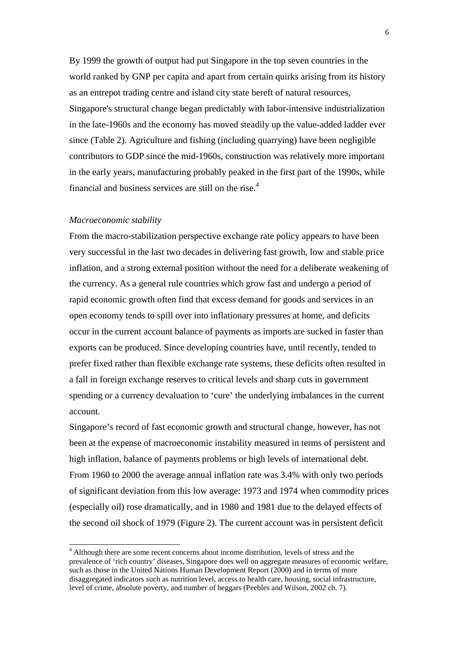By 1999 the growth of output had put Singapore in the top seven countries in the world ranked by GNP per capita and apart from certain quirks arising from its history as an entrepot trading centre and island city state bereft of natural resources, Singapore's structural change began predictably with labor-intensive industrialization in the late-1960s and the economy has moved steadily up the value-added ladder ever since (Table 2). Agriculture and fishing (including quarrying) have been negligible contributors to GDP since the mid-1960s, construction was relatively more important in the early years, manufacturing probably peaked in the first part of the 1990s, while financial and business services are still on the rise.<sup>4</sup>

#### *Macroeconomic stability*

 $\overline{a}$ 

From the macro-stabilization perspective exchange rate policy appears to have been very successful in the last two decades in delivering fast growth, low and stable price inflation, and a strong external position without the need for a deliberate weakening of the currency. As a general rule countries which grow fast and undergo a period of rapid economic growth often find that excess demand for goods and services in an open economy tends to spill over into inflationary pressures at home, and deficits occur in the current account balance of payments as imports are sucked in faster than exports can be produced. Since developing countries have, until recently, tended to prefer fixed rather than flexible exchange rate systems, these deficits often resulted in a fall in foreign exchange reserves to critical levels and sharp cuts in government spending or a currency devaluation to 'cure' the underlying imbalances in the current account.

Singapore's record of fast economic growth and structural change, however, has not been at the expense of macroeconomic instability measured in terms of persistent and high inflation, balance of payments problems or high levels of international debt. From 1960 to 2000 the average annual inflation rate was 3.4% with only two periods of significant deviation from this low average: 1973 and 1974 when commodity prices (especially oil) rose dramatically, and in 1980 and 1981 due to the delayed effects of the second oil shock of 1979 (Figure 2). The current account was in persistent deficit

<sup>&</sup>lt;sup>4</sup> Although there are some recent concerns about income distribution, levels of stress and the prevalence of 'rich country' diseases, Singapore does well on aggregate measures of economic welfare, such as those in the United Nations Human Development Report (2000) and in terms of more disaggregated indicators such as nutrition level, access to health care, housing, social infrastructure, level of crime, absolute poverty, and number of beggars (Peebles and Wilson, 2002 ch. 7).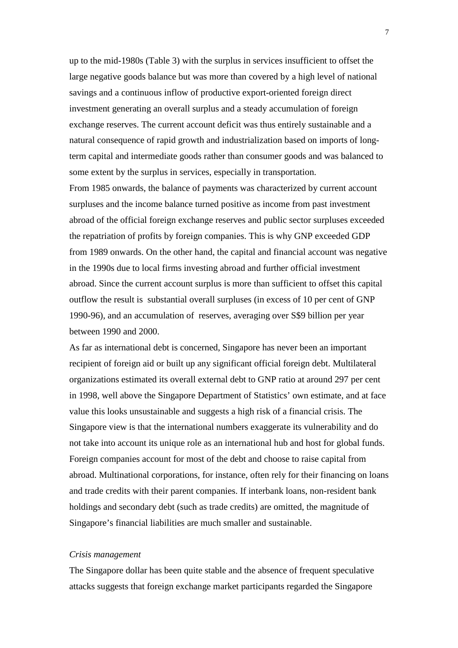up to the mid-1980s (Table 3) with the surplus in services insufficient to offset the large negative goods balance but was more than covered by a high level of national savings and a continuous inflow of productive export-oriented foreign direct investment generating an overall surplus and a steady accumulation of foreign exchange reserves. The current account deficit was thus entirely sustainable and a natural consequence of rapid growth and industrialization based on imports of longterm capital and intermediate goods rather than consumer goods and was balanced to some extent by the surplus in services, especially in transportation.

From 1985 onwards, the balance of payments was characterized by current account surpluses and the income balance turned positive as income from past investment abroad of the official foreign exchange reserves and public sector surpluses exceeded the repatriation of profits by foreign companies. This is why GNP exceeded GDP from 1989 onwards. On the other hand, the capital and financial account was negative in the 1990s due to local firms investing abroad and further official investment abroad. Since the current account surplus is more than sufficient to offset this capital outflow the result is substantial overall surpluses (in excess of 10 per cent of GNP 1990-96), and an accumulation of reserves, averaging over S\$9 billion per year between 1990 and 2000.

As far as international debt is concerned, Singapore has never been an important recipient of foreign aid or built up any significant official foreign debt. Multilateral organizations estimated its overall external debt to GNP ratio at around 297 per cent in 1998, well above the Singapore Department of Statistics' own estimate, and at face value this looks unsustainable and suggests a high risk of a financial crisis. The Singapore view is that the international numbers exaggerate its vulnerability and do not take into account its unique role as an international hub and host for global funds. Foreign companies account for most of the debt and choose to raise capital from abroad. Multinational corporations, for instance, often rely for their financing on loans and trade credits with their parent companies. If interbank loans, non-resident bank holdings and secondary debt (such as trade credits) are omitted, the magnitude of Singapore's financial liabilities are much smaller and sustainable.

#### *Crisis management*

The Singapore dollar has been quite stable and the absence of frequent speculative attacks suggests that foreign exchange market participants regarded the Singapore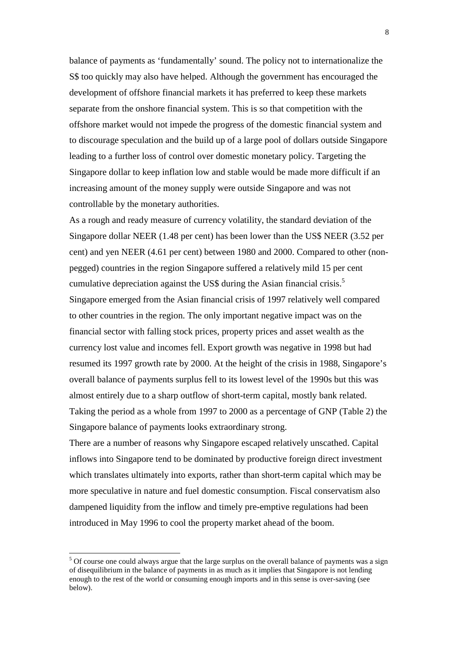balance of payments as 'fundamentally' sound. The policy not to internationalize the S\$ too quickly may also have helped. Although the government has encouraged the development of offshore financial markets it has preferred to keep these markets separate from the onshore financial system. This is so that competition with the offshore market would not impede the progress of the domestic financial system and to discourage speculation and the build up of a large pool of dollars outside Singapore leading to a further loss of control over domestic monetary policy. Targeting the Singapore dollar to keep inflation low and stable would be made more difficult if an increasing amount of the money supply were outside Singapore and was not controllable by the monetary authorities.

As a rough and ready measure of currency volatility, the standard deviation of the Singapore dollar NEER (1.48 per cent) has been lower than the US\$ NEER (3.52 per cent) and yen NEER (4.61 per cent) between 1980 and 2000. Compared to other (nonpegged) countries in the region Singapore suffered a relatively mild 15 per cent cumulative depreciation against the US\$ during the Asian financial crisis.<sup>5</sup> Singapore emerged from the Asian financial crisis of 1997 relatively well compared to other countries in the region. The only important negative impact was on the financial sector with falling stock prices, property prices and asset wealth as the currency lost value and incomes fell. Export growth was negative in 1998 but had resumed its 1997 growth rate by 2000. At the height of the crisis in 1988, Singapore's overall balance of payments surplus fell to its lowest level of the 1990s but this was almost entirely due to a sharp outflow of short-term capital, mostly bank related. Taking the period as a whole from 1997 to 2000 as a percentage of GNP (Table 2) the Singapore balance of payments looks extraordinary strong.

There are a number of reasons why Singapore escaped relatively unscathed. Capital inflows into Singapore tend to be dominated by productive foreign direct investment which translates ultimately into exports, rather than short-term capital which may be more speculative in nature and fuel domestic consumption. Fiscal conservatism also dampened liquidity from the inflow and timely pre-emptive regulations had been introduced in May 1996 to cool the property market ahead of the boom.

l

<sup>&</sup>lt;sup>5</sup> Of course one could always argue that the large surplus on the overall balance of payments was a sign of disequilibrium in the balance of payments in as much as it implies that Singapore is not lending enough to the rest of the world or consuming enough imports and in this sense is over-saving (see below).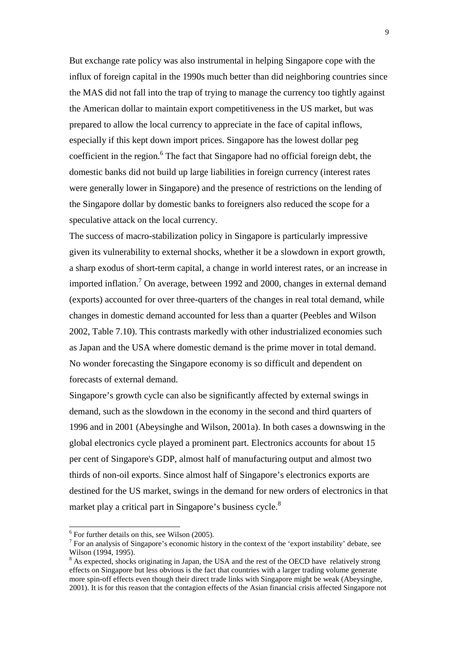But exchange rate policy was also instrumental in helping Singapore cope with the influx of foreign capital in the 1990s much better than did neighboring countries since the MAS did not fall into the trap of trying to manage the currency too tightly against the American dollar to maintain export competitiveness in the US market, but was prepared to allow the local currency to appreciate in the face of capital inflows, especially if this kept down import prices. Singapore has the lowest dollar peg coefficient in the region.<sup>6</sup> The fact that Singapore had no official foreign debt, the domestic banks did not build up large liabilities in foreign currency (interest rates were generally lower in Singapore) and the presence of restrictions on the lending of the Singapore dollar by domestic banks to foreigners also reduced the scope for a speculative attack on the local currency.

The success of macro-stabilization policy in Singapore is particularly impressive given its vulnerability to external shocks, whether it be a slowdown in export growth, a sharp exodus of short-term capital, a change in world interest rates, or an increase in imported inflation.<sup>7</sup> On average, between 1992 and 2000, changes in external demand (exports) accounted for over three-quarters of the changes in real total demand, while changes in domestic demand accounted for less than a quarter (Peebles and Wilson 2002, Table 7.10). This contrasts markedly with other industrialized economies such as Japan and the USA where domestic demand is the prime mover in total demand. No wonder forecasting the Singapore economy is so difficult and dependent on forecasts of external demand.

Singapore's growth cycle can also be significantly affected by external swings in demand, such as the slowdown in the economy in the second and third quarters of 1996 and in 2001 (Abeysinghe and Wilson, 2001a). In both cases a downswing in the global electronics cycle played a prominent part. Electronics accounts for about 15 per cent of Singapore's GDP, almost half of manufacturing output and almost two thirds of non-oil exports. Since almost half of Singapore's electronics exports are destined for the US market, swings in the demand for new orders of electronics in that market play a critical part in Singapore's business cycle.<sup>8</sup>

 $6$  For further details on this, see Wilson (2005).

 $7$  For an analysis of Singapore's economic history in the context of the 'export instability' debate, see Wilson (1994, 1995).

 $8$  As expected, shocks originating in Japan, the USA and the rest of the OECD have relatively strong effects on Singapore but less obvious is the fact that countries with a larger trading volume generate more spin-off effects even though their direct trade links with Singapore might be weak (Abeysinghe, 2001). It is for this reason that the contagion effects of the Asian financial crisis affected Singapore not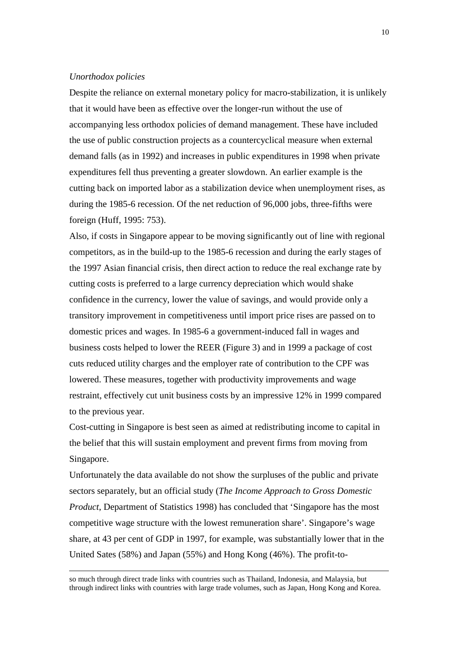#### *Unorthodox policies*

 $\overline{a}$ 

Despite the reliance on external monetary policy for macro-stabilization, it is unlikely that it would have been as effective over the longer-run without the use of accompanying less orthodox policies of demand management. These have included the use of public construction projects as a countercyclical measure when external demand falls (as in 1992) and increases in public expenditures in 1998 when private expenditures fell thus preventing a greater slowdown. An earlier example is the cutting back on imported labor as a stabilization device when unemployment rises, as during the 1985-6 recession. Of the net reduction of 96,000 jobs, three-fifths were foreign (Huff, 1995: 753).

Also, if costs in Singapore appear to be moving significantly out of line with regional competitors, as in the build-up to the 1985-6 recession and during the early stages of the 1997 Asian financial crisis, then direct action to reduce the real exchange rate by cutting costs is preferred to a large currency depreciation which would shake confidence in the currency, lower the value of savings, and would provide only a transitory improvement in competitiveness until import price rises are passed on to domestic prices and wages. In 1985-6 a government-induced fall in wages and business costs helped to lower the REER (Figure 3) and in 1999 a package of cost cuts reduced utility charges and the employer rate of contribution to the CPF was lowered. These measures, together with productivity improvements and wage restraint, effectively cut unit business costs by an impressive 12% in 1999 compared to the previous year.

Cost-cutting in Singapore is best seen as aimed at redistributing income to capital in the belief that this will sustain employment and prevent firms from moving from Singapore.

Unfortunately the data available do not show the surpluses of the public and private sectors separately, but an official study (*The Income Approach to Gross Domestic Product*, Department of Statistics 1998) has concluded that 'Singapore has the most competitive wage structure with the lowest remuneration share'. Singapore's wage share, at 43 per cent of GDP in 1997, for example, was substantially lower that in the United Sates (58%) and Japan (55%) and Hong Kong (46%). The profit-to-

so much through direct trade links with countries such as Thailand, Indonesia, and Malaysia, but through indirect links with countries with large trade volumes, such as Japan, Hong Kong and Korea.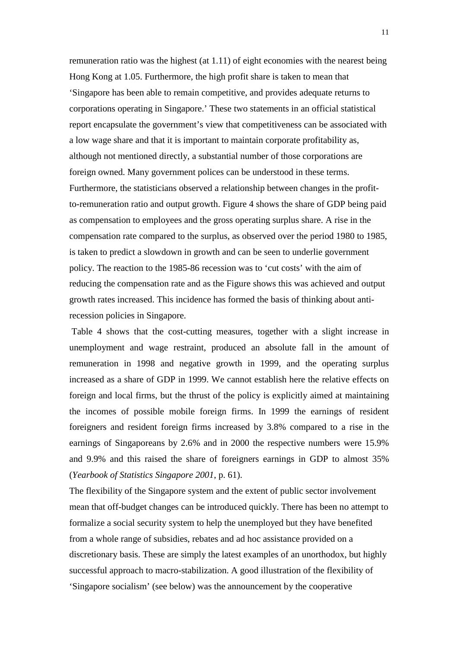remuneration ratio was the highest (at 1.11) of eight economies with the nearest being Hong Kong at 1.05. Furthermore, the high profit share is taken to mean that 'Singapore has been able to remain competitive, and provides adequate returns to corporations operating in Singapore.' These two statements in an official statistical report encapsulate the government's view that competitiveness can be associated with a low wage share and that it is important to maintain corporate profitability as, although not mentioned directly, a substantial number of those corporations are foreign owned. Many government polices can be understood in these terms. Furthermore, the statisticians observed a relationship between changes in the profitto-remuneration ratio and output growth. Figure 4 shows the share of GDP being paid as compensation to employees and the gross operating surplus share. A rise in the compensation rate compared to the surplus, as observed over the period 1980 to 1985, is taken to predict a slowdown in growth and can be seen to underlie government policy. The reaction to the 1985-86 recession was to 'cut costs' with the aim of reducing the compensation rate and as the Figure shows this was achieved and output growth rates increased. This incidence has formed the basis of thinking about antirecession policies in Singapore.

 Table 4 shows that the cost-cutting measures, together with a slight increase in unemployment and wage restraint, produced an absolute fall in the amount of remuneration in 1998 and negative growth in 1999, and the operating surplus increased as a share of GDP in 1999. We cannot establish here the relative effects on foreign and local firms, but the thrust of the policy is explicitly aimed at maintaining the incomes of possible mobile foreign firms. In 1999 the earnings of resident foreigners and resident foreign firms increased by 3.8% compared to a rise in the earnings of Singaporeans by 2.6% and in 2000 the respective numbers were 15.9% and 9.9% and this raised the share of foreigners earnings in GDP to almost 35% (*Yearbook of Statistics Singapore 2001*, p. 61).

The flexibility of the Singapore system and the extent of public sector involvement mean that off-budget changes can be introduced quickly. There has been no attempt to formalize a social security system to help the unemployed but they have benefited from a whole range of subsidies, rebates and ad hoc assistance provided on a discretionary basis. These are simply the latest examples of an unorthodox, but highly successful approach to macro-stabilization. A good illustration of the flexibility of 'Singapore socialism' (see below) was the announcement by the cooperative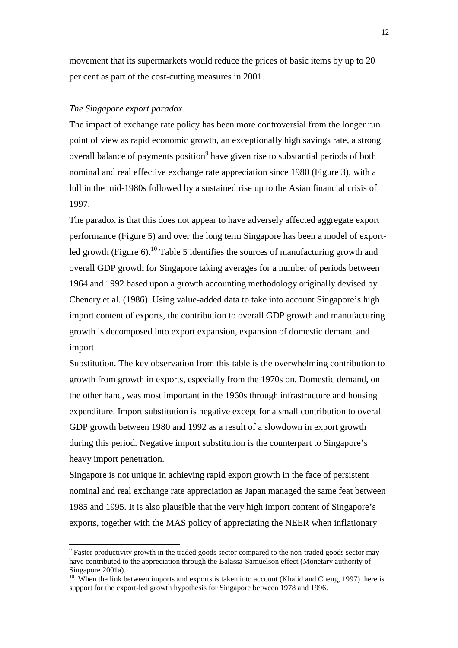movement that its supermarkets would reduce the prices of basic items by up to 20 per cent as part of the cost-cutting measures in 2001.

## *The Singapore export paradox*

 $\overline{a}$ 

The impact of exchange rate policy has been more controversial from the longer run point of view as rapid economic growth, an exceptionally high savings rate, a strong overall balance of payments position<sup>9</sup> have given rise to substantial periods of both nominal and real effective exchange rate appreciation since 1980 (Figure 3), with a lull in the mid-1980s followed by a sustained rise up to the Asian financial crisis of 1997.

The paradox is that this does not appear to have adversely affected aggregate export performance (Figure 5) and over the long term Singapore has been a model of exportled growth (Figure 6).<sup>10</sup> Table 5 identifies the sources of manufacturing growth and overall GDP growth for Singapore taking averages for a number of periods between 1964 and 1992 based upon a growth accounting methodology originally devised by Chenery et al. (1986). Using value-added data to take into account Singapore's high import content of exports, the contribution to overall GDP growth and manufacturing growth is decomposed into export expansion, expansion of domestic demand and import

Substitution. The key observation from this table is the overwhelming contribution to growth from growth in exports, especially from the 1970s on. Domestic demand, on the other hand, was most important in the 1960s through infrastructure and housing expenditure. Import substitution is negative except for a small contribution to overall GDP growth between 1980 and 1992 as a result of a slowdown in export growth during this period. Negative import substitution is the counterpart to Singapore's heavy import penetration.

Singapore is not unique in achieving rapid export growth in the face of persistent nominal and real exchange rate appreciation as Japan managed the same feat between 1985 and 1995. It is also plausible that the very high import content of Singapore's exports, together with the MAS policy of appreciating the NEER when inflationary

 $9^9$  Faster productivity growth in the traded goods sector compared to the non-traded goods sector may have contributed to the appreciation through the Balassa-Samuelson effect (Monetary authority of Singapore 2001a).

<sup>&</sup>lt;sup>10</sup> When the link between imports and exports is taken into account (Khalid and Cheng, 1997) there is support for the export-led growth hypothesis for Singapore between 1978 and 1996.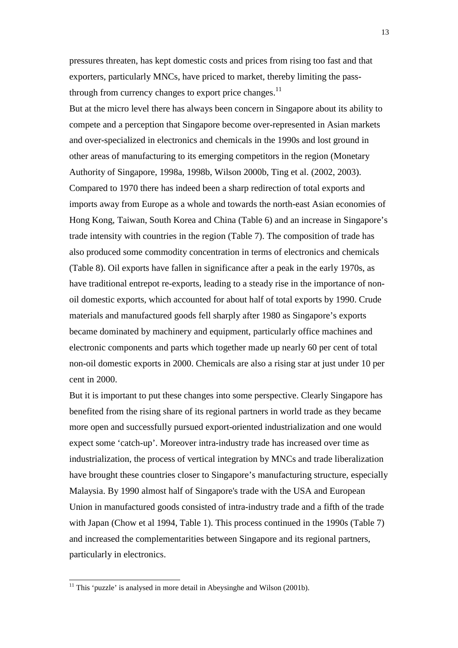pressures threaten, has kept domestic costs and prices from rising too fast and that exporters, particularly MNCs, have priced to market, thereby limiting the passthrough from currency changes to export price changes. $^{11}$ 

But at the micro level there has always been concern in Singapore about its ability to compete and a perception that Singapore become over-represented in Asian markets and over-specialized in electronics and chemicals in the 1990s and lost ground in other areas of manufacturing to its emerging competitors in the region (Monetary Authority of Singapore, 1998a, 1998b, Wilson 2000b, Ting et al. (2002, 2003). Compared to 1970 there has indeed been a sharp redirection of total exports and imports away from Europe as a whole and towards the north-east Asian economies of Hong Kong, Taiwan, South Korea and China (Table 6) and an increase in Singapore's trade intensity with countries in the region (Table 7). The composition of trade has also produced some commodity concentration in terms of electronics and chemicals (Table 8). Oil exports have fallen in significance after a peak in the early 1970s, as have traditional entrepot re-exports, leading to a steady rise in the importance of nonoil domestic exports, which accounted for about half of total exports by 1990. Crude materials and manufactured goods fell sharply after 1980 as Singapore's exports became dominated by machinery and equipment, particularly office machines and electronic components and parts which together made up nearly 60 per cent of total non-oil domestic exports in 2000. Chemicals are also a rising star at just under 10 per cent in 2000.

But it is important to put these changes into some perspective. Clearly Singapore has benefited from the rising share of its regional partners in world trade as they became more open and successfully pursued export-oriented industrialization and one would expect some 'catch-up'. Moreover intra-industry trade has increased over time as industrialization, the process of vertical integration by MNCs and trade liberalization have brought these countries closer to Singapore's manufacturing structure, especially Malaysia. By 1990 almost half of Singapore's trade with the USA and European Union in manufactured goods consisted of intra-industry trade and a fifth of the trade with Japan (Chow et al 1994, Table 1). This process continued in the 1990s (Table 7) and increased the complementarities between Singapore and its regional partners, particularly in electronics.

 $11$  This 'puzzle' is analysed in more detail in Abeysinghe and Wilson (2001b).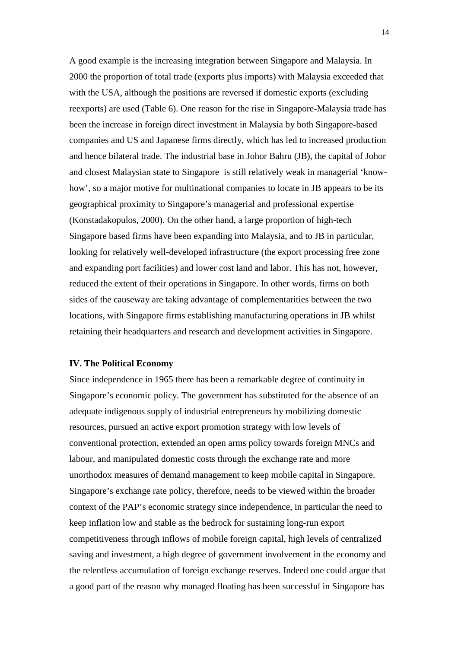A good example is the increasing integration between Singapore and Malaysia. In 2000 the proportion of total trade (exports plus imports) with Malaysia exceeded that with the USA, although the positions are reversed if domestic exports (excluding reexports) are used (Table 6). One reason for the rise in Singapore-Malaysia trade has been the increase in foreign direct investment in Malaysia by both Singapore-based companies and US and Japanese firms directly, which has led to increased production and hence bilateral trade. The industrial base in Johor Bahru (JB), the capital of Johor and closest Malaysian state to Singapore is still relatively weak in managerial 'knowhow', so a major motive for multinational companies to locate in JB appears to be its geographical proximity to Singapore's managerial and professional expertise (Konstadakopulos, 2000). On the other hand, a large proportion of high-tech Singapore based firms have been expanding into Malaysia, and to JB in particular, looking for relatively well-developed infrastructure (the export processing free zone and expanding port facilities) and lower cost land and labor. This has not, however, reduced the extent of their operations in Singapore. In other words, firms on both sides of the causeway are taking advantage of complementarities between the two locations, with Singapore firms establishing manufacturing operations in JB whilst retaining their headquarters and research and development activities in Singapore.

## **IV. The Political Economy**

Since independence in 1965 there has been a remarkable degree of continuity in Singapore's economic policy. The government has substituted for the absence of an adequate indigenous supply of industrial entrepreneurs by mobilizing domestic resources, pursued an active export promotion strategy with low levels of conventional protection, extended an open arms policy towards foreign MNCs and labour, and manipulated domestic costs through the exchange rate and more unorthodox measures of demand management to keep mobile capital in Singapore. Singapore's exchange rate policy, therefore, needs to be viewed within the broader context of the PAP's economic strategy since independence, in particular the need to keep inflation low and stable as the bedrock for sustaining long-run export competitiveness through inflows of mobile foreign capital, high levels of centralized saving and investment, a high degree of government involvement in the economy and the relentless accumulation of foreign exchange reserves. Indeed one could argue that a good part of the reason why managed floating has been successful in Singapore has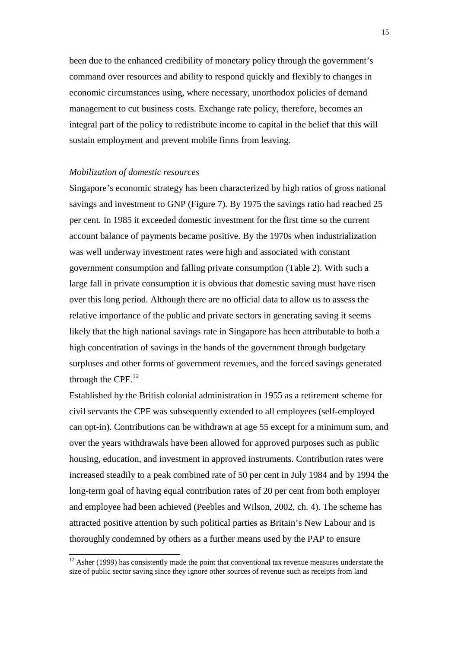been due to the enhanced credibility of monetary policy through the government's command over resources and ability to respond quickly and flexibly to changes in economic circumstances using, where necessary, unorthodox policies of demand management to cut business costs. Exchange rate policy, therefore, becomes an integral part of the policy to redistribute income to capital in the belief that this will sustain employment and prevent mobile firms from leaving.

## *Mobilization of domestic resources*

l

Singapore's economic strategy has been characterized by high ratios of gross national savings and investment to GNP (Figure 7). By 1975 the savings ratio had reached 25 per cent. In 1985 it exceeded domestic investment for the first time so the current account balance of payments became positive. By the 1970s when industrialization was well underway investment rates were high and associated with constant government consumption and falling private consumption (Table 2). With such a large fall in private consumption it is obvious that domestic saving must have risen over this long period. Although there are no official data to allow us to assess the relative importance of the public and private sectors in generating saving it seems likely that the high national savings rate in Singapore has been attributable to both a high concentration of savings in the hands of the government through budgetary surpluses and other forms of government revenues, and the forced savings generated through the CPF. $^{12}$ 

Established by the British colonial administration in 1955 as a retirement scheme for civil servants the CPF was subsequently extended to all employees (self-employed can opt-in). Contributions can be withdrawn at age 55 except for a minimum sum, and over the years withdrawals have been allowed for approved purposes such as public housing, education, and investment in approved instruments. Contribution rates were increased steadily to a peak combined rate of 50 per cent in July 1984 and by 1994 the long-term goal of having equal contribution rates of 20 per cent from both employer and employee had been achieved (Peebles and Wilson, 2002, ch. 4). The scheme has attracted positive attention by such political parties as Britain's New Labour and is thoroughly condemned by others as a further means used by the PAP to ensure

 $12$  Asher (1999) has consistently made the point that conventional tax revenue measures understate the size of public sector saving since they ignore other sources of revenue such as receipts from land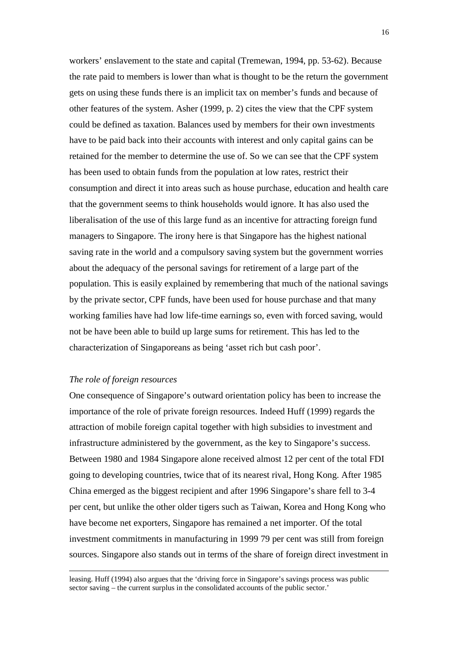workers' enslavement to the state and capital (Tremewan, 1994, pp. 53-62). Because the rate paid to members is lower than what is thought to be the return the government gets on using these funds there is an implicit tax on member's funds and because of other features of the system. Asher (1999, p. 2) cites the view that the CPF system could be defined as taxation. Balances used by members for their own investments have to be paid back into their accounts with interest and only capital gains can be retained for the member to determine the use of. So we can see that the CPF system has been used to obtain funds from the population at low rates, restrict their consumption and direct it into areas such as house purchase, education and health care that the government seems to think households would ignore. It has also used the liberalisation of the use of this large fund as an incentive for attracting foreign fund managers to Singapore. The irony here is that Singapore has the highest national saving rate in the world and a compulsory saving system but the government worries about the adequacy of the personal savings for retirement of a large part of the population. This is easily explained by remembering that much of the national savings by the private sector, CPF funds, have been used for house purchase and that many working families have had low life-time earnings so, even with forced saving, would not be have been able to build up large sums for retirement. This has led to the characterization of Singaporeans as being 'asset rich but cash poor'.

### *The role of foreign resources*

 $\overline{a}$ 

One consequence of Singapore's outward orientation policy has been to increase the importance of the role of private foreign resources. Indeed Huff (1999) regards the attraction of mobile foreign capital together with high subsidies to investment and infrastructure administered by the government, as the key to Singapore's success. Between 1980 and 1984 Singapore alone received almost 12 per cent of the total FDI going to developing countries, twice that of its nearest rival, Hong Kong. After 1985 China emerged as the biggest recipient and after 1996 Singapore's share fell to 3-4 per cent, but unlike the other older tigers such as Taiwan, Korea and Hong Kong who have become net exporters, Singapore has remained a net importer. Of the total investment commitments in manufacturing in 1999 79 per cent was still from foreign sources. Singapore also stands out in terms of the share of foreign direct investment in

leasing. Huff (1994) also argues that the 'driving force in Singapore's savings process was public sector saving – the current surplus in the consolidated accounts of the public sector.'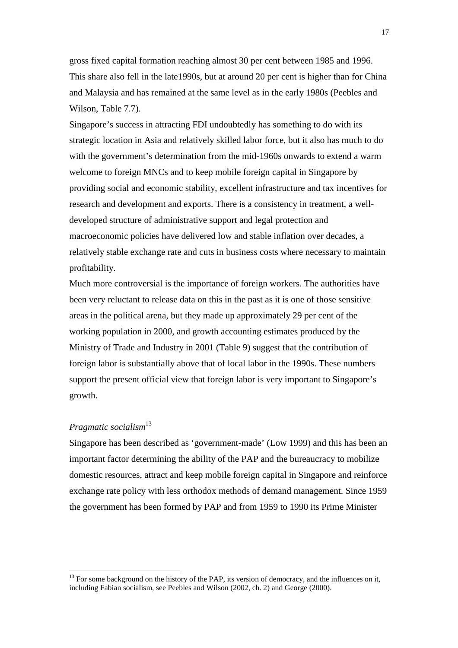gross fixed capital formation reaching almost 30 per cent between 1985 and 1996. This share also fell in the late1990s, but at around 20 per cent is higher than for China and Malaysia and has remained at the same level as in the early 1980s (Peebles and Wilson, Table 7.7).

Singapore's success in attracting FDI undoubtedly has something to do with its strategic location in Asia and relatively skilled labor force, but it also has much to do with the government's determination from the mid-1960s onwards to extend a warm welcome to foreign MNCs and to keep mobile foreign capital in Singapore by providing social and economic stability, excellent infrastructure and tax incentives for research and development and exports. There is a consistency in treatment, a welldeveloped structure of administrative support and legal protection and macroeconomic policies have delivered low and stable inflation over decades, a relatively stable exchange rate and cuts in business costs where necessary to maintain profitability.

Much more controversial is the importance of foreign workers. The authorities have been very reluctant to release data on this in the past as it is one of those sensitive areas in the political arena, but they made up approximately 29 per cent of the working population in 2000, and growth accounting estimates produced by the Ministry of Trade and Industry in 2001 (Table 9) suggest that the contribution of foreign labor is substantially above that of local labor in the 1990s. These numbers support the present official view that foreign labor is very important to Singapore's growth.

## *Pragmatic socialism*<sup>13</sup>

 $\overline{a}$ 

Singapore has been described as 'government-made' (Low 1999) and this has been an important factor determining the ability of the PAP and the bureaucracy to mobilize domestic resources, attract and keep mobile foreign capital in Singapore and reinforce exchange rate policy with less orthodox methods of demand management. Since 1959 the government has been formed by PAP and from 1959 to 1990 its Prime Minister

 $13$  For some background on the history of the PAP, its version of democracy, and the influences on it, including Fabian socialism, see Peebles and Wilson (2002, ch. 2) and George (2000).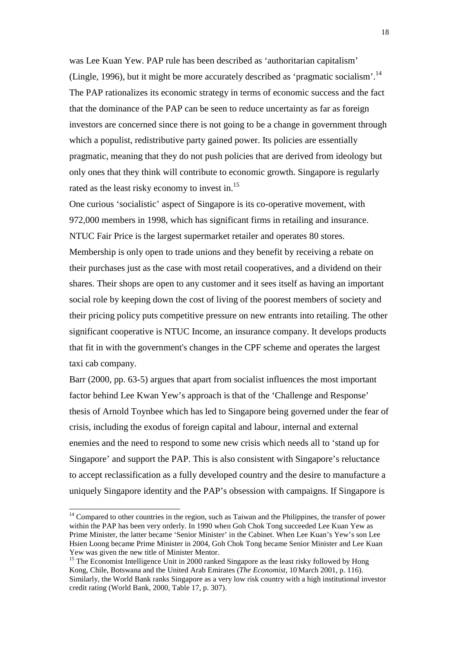was Lee Kuan Yew. PAP rule has been described as 'authoritarian capitalism' (Lingle, 1996), but it might be more accurately described as 'pragmatic socialism'.14 The PAP rationalizes its economic strategy in terms of economic success and the fact that the dominance of the PAP can be seen to reduce uncertainty as far as foreign investors are concerned since there is not going to be a change in government through which a populist, redistributive party gained power. Its policies are essentially pragmatic, meaning that they do not push policies that are derived from ideology but only ones that they think will contribute to economic growth. Singapore is regularly rated as the least risky economy to invest in.<sup>15</sup>

One curious 'socialistic' aspect of Singapore is its co-operative movement, with 972,000 members in 1998, which has significant firms in retailing and insurance. NTUC Fair Price is the largest supermarket retailer and operates 80 stores. Membership is only open to trade unions and they benefit by receiving a rebate on their purchases just as the case with most retail cooperatives, and a dividend on their shares. Their shops are open to any customer and it sees itself as having an important social role by keeping down the cost of living of the poorest members of society and their pricing policy puts competitive pressure on new entrants into retailing. The other significant cooperative is NTUC Income, an insurance company. It develops products that fit in with the government's changes in the CPF scheme and operates the largest taxi cab company.

Barr (2000, pp. 63-5) argues that apart from socialist influences the most important factor behind Lee Kwan Yew's approach is that of the 'Challenge and Response' thesis of Arnold Toynbee which has led to Singapore being governed under the fear of crisis, including the exodus of foreign capital and labour, internal and external enemies and the need to respond to some new crisis which needs all to 'stand up for Singapore' and support the PAP. This is also consistent with Singapore's reluctance to accept reclassification as a fully developed country and the desire to manufacture a uniquely Singapore identity and the PAP's obsession with campaigns. If Singapore is

 $14$  Compared to other countries in the region, such as Taiwan and the Philippines, the transfer of power within the PAP has been very orderly. In 1990 when Goh Chok Tong succeeded Lee Kuan Yew as Prime Minister, the latter became 'Senior Minister' in the Cabinet. When Lee Kuan's Yew's son Lee Hsien Loong became Prime Minister in 2004, Goh Chok Tong became Senior Minister and Lee Kuan Yew was given the new title of Minister Mentor.

<sup>&</sup>lt;sup>15</sup> The Economist Intelligence Unit in 2000 ranked Singapore as the least risky followed by Hong Kong, Chile, Botswana and the United Arab Emirates (*The Economist*, 10 March 2001, p. 116). Similarly, the World Bank ranks Singapore as a very low risk country with a high institutional investor credit rating (World Bank, 2000, Table 17, p. 307).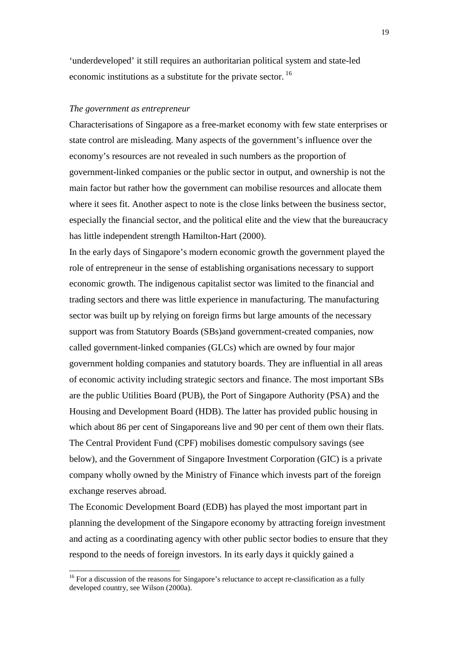'underdeveloped' it still requires an authoritarian political system and state-led economic institutions as a substitute for the private sector. 16

#### *The government as entrepreneur*

Characterisations of Singapore as a free-market economy with few state enterprises or state control are misleading. Many aspects of the government's influence over the economy's resources are not revealed in such numbers as the proportion of government-linked companies or the public sector in output, and ownership is not the main factor but rather how the government can mobilise resources and allocate them where it sees fit. Another aspect to note is the close links between the business sector, especially the financial sector, and the political elite and the view that the bureaucracy has little independent strength Hamilton-Hart (2000).

In the early days of Singapore's modern economic growth the government played the role of entrepreneur in the sense of establishing organisations necessary to support economic growth. The indigenous capitalist sector was limited to the financial and trading sectors and there was little experience in manufacturing. The manufacturing sector was built up by relying on foreign firms but large amounts of the necessary support was from Statutory Boards (SBs)and government-created companies, now called government-linked companies (GLCs) which are owned by four major government holding companies and statutory boards. They are influential in all areas of economic activity including strategic sectors and finance. The most important SBs are the public Utilities Board (PUB), the Port of Singapore Authority (PSA) and the Housing and Development Board (HDB). The latter has provided public housing in which about 86 per cent of Singaporeans live and 90 per cent of them own their flats. The Central Provident Fund (CPF) mobilises domestic compulsory savings (see below), and the Government of Singapore Investment Corporation (GIC) is a private company wholly owned by the Ministry of Finance which invests part of the foreign exchange reserves abroad.

The Economic Development Board (EDB) has played the most important part in planning the development of the Singapore economy by attracting foreign investment and acting as a coordinating agency with other public sector bodies to ensure that they respond to the needs of foreign investors. In its early days it quickly gained a

 $16$  For a discussion of the reasons for Singapore's reluctance to accept re-classification as a fully developed country, see Wilson (2000a).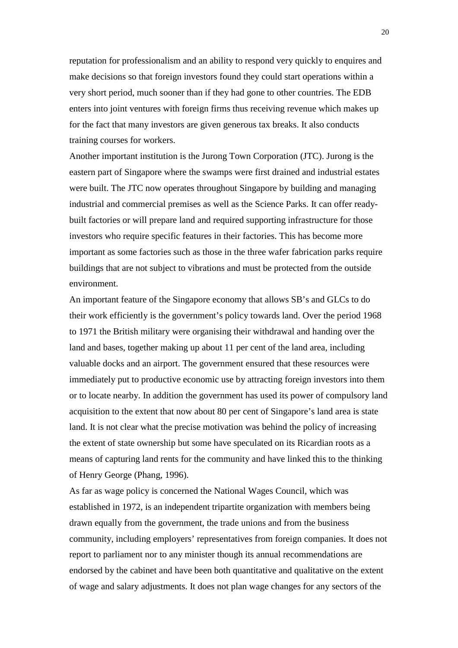reputation for professionalism and an ability to respond very quickly to enquires and make decisions so that foreign investors found they could start operations within a very short period, much sooner than if they had gone to other countries. The EDB enters into joint ventures with foreign firms thus receiving revenue which makes up for the fact that many investors are given generous tax breaks. It also conducts training courses for workers.

Another important institution is the Jurong Town Corporation (JTC). Jurong is the eastern part of Singapore where the swamps were first drained and industrial estates were built. The JTC now operates throughout Singapore by building and managing industrial and commercial premises as well as the Science Parks. It can offer readybuilt factories or will prepare land and required supporting infrastructure for those investors who require specific features in their factories. This has become more important as some factories such as those in the three wafer fabrication parks require buildings that are not subject to vibrations and must be protected from the outside environment.

An important feature of the Singapore economy that allows SB's and GLCs to do their work efficiently is the government's policy towards land. Over the period 1968 to 1971 the British military were organising their withdrawal and handing over the land and bases, together making up about 11 per cent of the land area, including valuable docks and an airport. The government ensured that these resources were immediately put to productive economic use by attracting foreign investors into them or to locate nearby. In addition the government has used its power of compulsory land acquisition to the extent that now about 80 per cent of Singapore's land area is state land. It is not clear what the precise motivation was behind the policy of increasing the extent of state ownership but some have speculated on its Ricardian roots as a means of capturing land rents for the community and have linked this to the thinking of Henry George (Phang, 1996).

As far as wage policy is concerned the National Wages Council, which was established in 1972, is an independent tripartite organization with members being drawn equally from the government, the trade unions and from the business community, including employers' representatives from foreign companies. It does not report to parliament nor to any minister though its annual recommendations are endorsed by the cabinet and have been both quantitative and qualitative on the extent of wage and salary adjustments. It does not plan wage changes for any sectors of the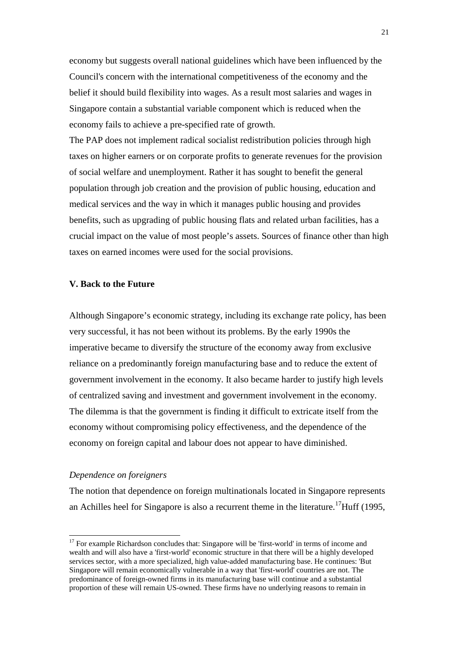economy but suggests overall national guidelines which have been influenced by the Council's concern with the international competitiveness of the economy and the belief it should build flexibility into wages. As a result most salaries and wages in Singapore contain a substantial variable component which is reduced when the economy fails to achieve a pre-specified rate of growth.

The PAP does not implement radical socialist redistribution policies through high taxes on higher earners or on corporate profits to generate revenues for the provision of social welfare and unemployment. Rather it has sought to benefit the general population through job creation and the provision of public housing, education and medical services and the way in which it manages public housing and provides benefits, such as upgrading of public housing flats and related urban facilities, has a crucial impact on the value of most people's assets. Sources of finance other than high taxes on earned incomes were used for the social provisions.

## **V. Back to the Future**

Although Singapore's economic strategy, including its exchange rate policy, has been very successful, it has not been without its problems. By the early 1990s the imperative became to diversify the structure of the economy away from exclusive reliance on a predominantly foreign manufacturing base and to reduce the extent of government involvement in the economy. It also became harder to justify high levels of centralized saving and investment and government involvement in the economy. The dilemma is that the government is finding it difficult to extricate itself from the economy without compromising policy effectiveness, and the dependence of the economy on foreign capital and labour does not appear to have diminished.

## *Dependence on foreigners*

 $\overline{a}$ 

The notion that dependence on foreign multinationals located in Singapore represents an Achilles heel for Singapore is also a recurrent theme in the literature.<sup>17</sup>Huff (1995,

<sup>&</sup>lt;sup>17</sup> For example Richardson concludes that: Singapore will be 'first-world' in terms of income and wealth and will also have a 'first-world' economic structure in that there will be a highly developed services sector, with a more specialized, high value-added manufacturing base. He continues: 'But Singapore will remain economically vulnerable in a way that 'first-world' countries are not. The predominance of foreign-owned firms in its manufacturing base will continue and a substantial proportion of these will remain US-owned. These firms have no underlying reasons to remain in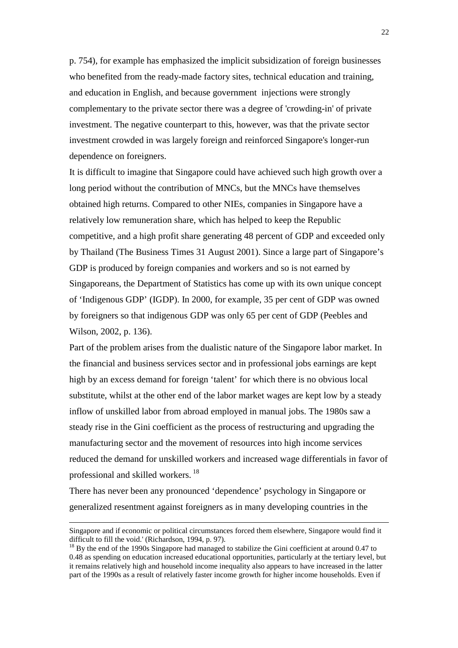p. 754), for example has emphasized the implicit subsidization of foreign businesses who benefited from the ready-made factory sites, technical education and training, and education in English, and because government injections were strongly complementary to the private sector there was a degree of 'crowding-in' of private investment. The negative counterpart to this, however, was that the private sector investment crowded in was largely foreign and reinforced Singapore's longer-run dependence on foreigners.

It is difficult to imagine that Singapore could have achieved such high growth over a long period without the contribution of MNCs, but the MNCs have themselves obtained high returns. Compared to other NIEs, companies in Singapore have a relatively low remuneration share, which has helped to keep the Republic competitive, and a high profit share generating 48 percent of GDP and exceeded only by Thailand (The Business Times 31 August 2001). Since a large part of Singapore's GDP is produced by foreign companies and workers and so is not earned by Singaporeans, the Department of Statistics has come up with its own unique concept of 'Indigenous GDP' (IGDP). In 2000, for example, 35 per cent of GDP was owned by foreigners so that indigenous GDP was only 65 per cent of GDP (Peebles and Wilson, 2002, p. 136).

Part of the problem arises from the dualistic nature of the Singapore labor market. In the financial and business services sector and in professional jobs earnings are kept high by an excess demand for foreign 'talent' for which there is no obvious local substitute, whilst at the other end of the labor market wages are kept low by a steady inflow of unskilled labor from abroad employed in manual jobs. The 1980s saw a steady rise in the Gini coefficient as the process of restructuring and upgrading the manufacturing sector and the movement of resources into high income services reduced the demand for unskilled workers and increased wage differentials in favor of professional and skilled workers.<sup>18</sup>

There has never been any pronounced 'dependence' psychology in Singapore or generalized resentment against foreigners as in many developing countries in the

Singapore and if economic or political circumstances forced them elsewhere, Singapore would find it difficult to fill the void.' (Richardson, 1994, p. 97).

<sup>&</sup>lt;sup>18</sup> By the end of the 1990s Singapore had managed to stabilize the Gini coefficient at around 0.47 to 0.48 as spending on education increased educational opportunities, particularly at the tertiary level, but it remains relatively high and household income inequality also appears to have increased in the latter part of the 1990s as a result of relatively faster income growth for higher income households. Even if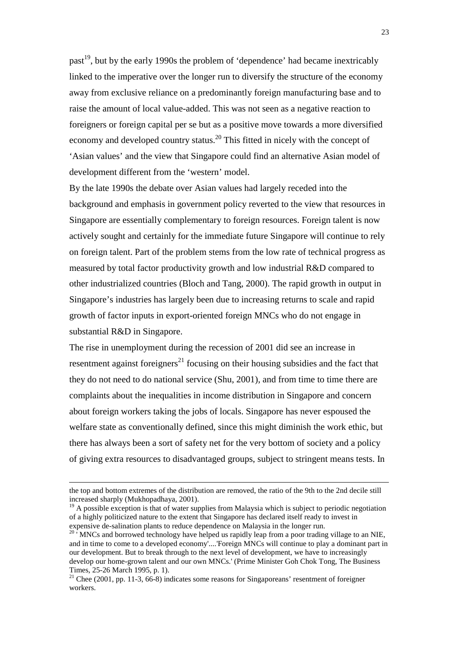past<sup>19</sup>, but by the early 1990s the problem of 'dependence' had became inextricably linked to the imperative over the longer run to diversify the structure of the economy away from exclusive reliance on a predominantly foreign manufacturing base and to raise the amount of local value-added. This was not seen as a negative reaction to foreigners or foreign capital per se but as a positive move towards a more diversified economy and developed country status.<sup>20</sup> This fitted in nicely with the concept of 'Asian values' and the view that Singapore could find an alternative Asian model of development different from the 'western' model.

By the late 1990s the debate over Asian values had largely receded into the background and emphasis in government policy reverted to the view that resources in Singapore are essentially complementary to foreign resources. Foreign talent is now actively sought and certainly for the immediate future Singapore will continue to rely on foreign talent. Part of the problem stems from the low rate of technical progress as measured by total factor productivity growth and low industrial R&D compared to other industrialized countries (Bloch and Tang, 2000). The rapid growth in output in Singapore's industries has largely been due to increasing returns to scale and rapid growth of factor inputs in export-oriented foreign MNCs who do not engage in substantial R&D in Singapore.

The rise in unemployment during the recession of 2001 did see an increase in resentment against foreigners<sup>21</sup> focusing on their housing subsidies and the fact that they do not need to do national service (Shu, 2001), and from time to time there are complaints about the inequalities in income distribution in Singapore and concern about foreign workers taking the jobs of locals. Singapore has never espoused the welfare state as conventionally defined, since this might diminish the work ethic, but there has always been a sort of safety net for the very bottom of society and a policy of giving extra resources to disadvantaged groups, subject to stringent means tests. In

the top and bottom extremes of the distribution are removed, the ratio of the 9th to the 2nd decile still increased sharply (Mukhopadhaya, 2001).

 $19$  A possible exception is that of water supplies from Malaysia which is subject to periodic negotiation of a highly politicized nature to the extent that Singapore has declared itself ready to invest in expensive de-salination plants to reduce dependence on Malaysia in the longer run.

<sup>&</sup>lt;sup>20</sup> MNCs and borrowed technology have helped us rapidly leap from a poor trading village to an NIE, and in time to come to a developed economy'....'Foreign MNCs will continue to play a dominant part in our development. But to break through to the next level of development, we have to increasingly develop our home-grown talent and our own MNCs.' (Prime Minister Goh Chok Tong, The Business Times, 25-26 March 1995, p. 1).

 $21$  Chee (2001, pp. 11-3, 66-8) indicates some reasons for Singaporeans' resentment of foreigner workers.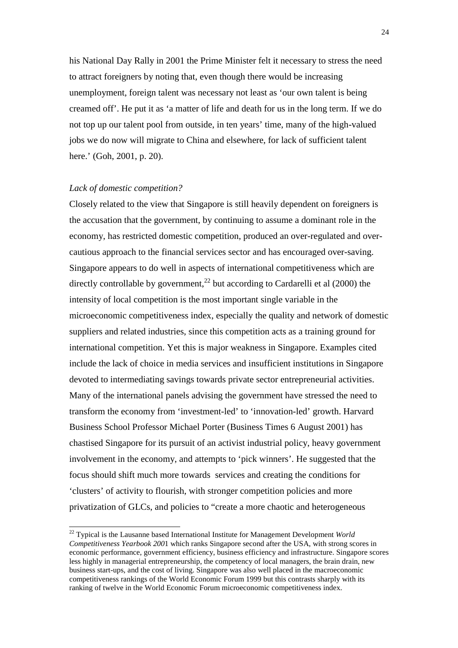his National Day Rally in 2001 the Prime Minister felt it necessary to stress the need to attract foreigners by noting that, even though there would be increasing unemployment, foreign talent was necessary not least as 'our own talent is being creamed off'. He put it as 'a matter of life and death for us in the long term. If we do not top up our talent pool from outside, in ten years' time, many of the high-valued jobs we do now will migrate to China and elsewhere, for lack of sufficient talent here.' (Goh, 2001, p. 20).

#### *Lack of domestic competition?*

 $\overline{a}$ 

Closely related to the view that Singapore is still heavily dependent on foreigners is the accusation that the government, by continuing to assume a dominant role in the economy, has restricted domestic competition, produced an over-regulated and overcautious approach to the financial services sector and has encouraged over-saving. Singapore appears to do well in aspects of international competitiveness which are directly controllable by government,<sup>22</sup> but according to Cardarelli et al  $(2000)$  the intensity of local competition is the most important single variable in the microeconomic competitiveness index, especially the quality and network of domestic suppliers and related industries, since this competition acts as a training ground for international competition. Yet this is major weakness in Singapore. Examples cited include the lack of choice in media services and insufficient institutions in Singapore devoted to intermediating savings towards private sector entrepreneurial activities. Many of the international panels advising the government have stressed the need to transform the economy from 'investment-led' to 'innovation-led' growth. Harvard Business School Professor Michael Porter (Business Times 6 August 2001) has chastised Singapore for its pursuit of an activist industrial policy, heavy government involvement in the economy, and attempts to 'pick winners'. He suggested that the focus should shift much more towards services and creating the conditions for 'clusters' of activity to flourish, with stronger competition policies and more privatization of GLCs, and policies to "create a more chaotic and heterogeneous

<sup>22</sup> Typical is the Lausanne based International Institute for Management Development *World Competitiveness Yearbook 200*1 which ranks Singapore second after the USA, with strong scores in economic performance, government efficiency, business efficiency and infrastructure. Singapore scores less highly in managerial entrepreneurship, the competency of local managers, the brain drain, new business start-ups, and the cost of living. Singapore was also well placed in the macroeconomic competitiveness rankings of the World Economic Forum 1999 but this contrasts sharply with its ranking of twelve in the World Economic Forum microeconomic competitiveness index.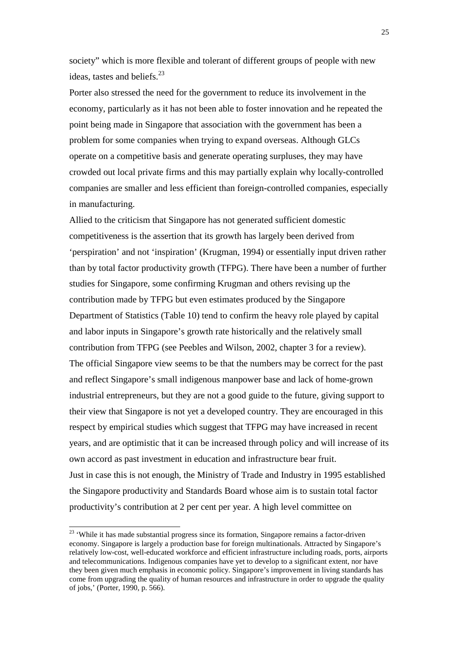society" which is more flexible and tolerant of different groups of people with new ideas, tastes and beliefs. $^{23}$ 

Porter also stressed the need for the government to reduce its involvement in the economy, particularly as it has not been able to foster innovation and he repeated the point being made in Singapore that association with the government has been a problem for some companies when trying to expand overseas. Although GLCs operate on a competitive basis and generate operating surpluses, they may have crowded out local private firms and this may partially explain why locally-controlled companies are smaller and less efficient than foreign-controlled companies, especially in manufacturing.

Allied to the criticism that Singapore has not generated sufficient domestic competitiveness is the assertion that its growth has largely been derived from 'perspiration' and not 'inspiration' (Krugman, 1994) or essentially input driven rather than by total factor productivity growth (TFPG). There have been a number of further studies for Singapore, some confirming Krugman and others revising up the contribution made by TFPG but even estimates produced by the Singapore Department of Statistics (Table 10) tend to confirm the heavy role played by capital and labor inputs in Singapore's growth rate historically and the relatively small contribution from TFPG (see Peebles and Wilson, 2002, chapter 3 for a review). The official Singapore view seems to be that the numbers may be correct for the past and reflect Singapore's small indigenous manpower base and lack of home-grown industrial entrepreneurs, but they are not a good guide to the future, giving support to their view that Singapore is not yet a developed country. They are encouraged in this respect by empirical studies which suggest that TFPG may have increased in recent years, and are optimistic that it can be increased through policy and will increase of its own accord as past investment in education and infrastructure bear fruit. Just in case this is not enough, the Ministry of Trade and Industry in 1995 established the Singapore productivity and Standards Board whose aim is to sustain total factor productivity's contribution at 2 per cent per year. A high level committee on

<sup>&</sup>lt;sup>23</sup> 'While it has made substantial progress since its formation, Singapore remains a factor-driven economy. Singapore is largely a production base for foreign multinationals. Attracted by Singapore's relatively low-cost, well-educated workforce and efficient infrastructure including roads, ports, airports and telecommunications. Indigenous companies have yet to develop to a significant extent, nor have they been given much emphasis in economic policy. Singapore's improvement in living standards has come from upgrading the quality of human resources and infrastructure in order to upgrade the quality of jobs,' (Porter, 1990, p. 566).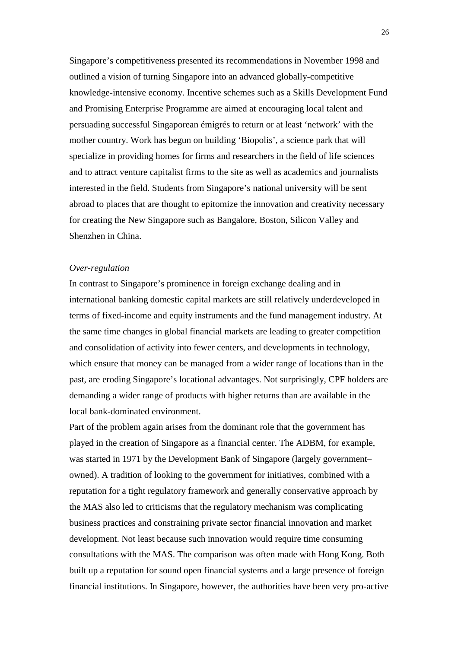Singapore's competitiveness presented its recommendations in November 1998 and outlined a vision of turning Singapore into an advanced globally-competitive knowledge-intensive economy. Incentive schemes such as a Skills Development Fund and Promising Enterprise Programme are aimed at encouraging local talent and persuading successful Singaporean émigrés to return or at least 'network' with the mother country. Work has begun on building 'Biopolis', a science park that will specialize in providing homes for firms and researchers in the field of life sciences and to attract venture capitalist firms to the site as well as academics and journalists interested in the field. Students from Singapore's national university will be sent abroad to places that are thought to epitomize the innovation and creativity necessary for creating the New Singapore such as Bangalore, Boston, Silicon Valley and Shenzhen in China.

#### *Over-regulation*

In contrast to Singapore's prominence in foreign exchange dealing and in international banking domestic capital markets are still relatively underdeveloped in terms of fixed-income and equity instruments and the fund management industry. At the same time changes in global financial markets are leading to greater competition and consolidation of activity into fewer centers, and developments in technology, which ensure that money can be managed from a wider range of locations than in the past, are eroding Singapore's locational advantages. Not surprisingly, CPF holders are demanding a wider range of products with higher returns than are available in the local bank-dominated environment.

Part of the problem again arises from the dominant role that the government has played in the creation of Singapore as a financial center. The ADBM, for example, was started in 1971 by the Development Bank of Singapore (largely government– owned). A tradition of looking to the government for initiatives, combined with a reputation for a tight regulatory framework and generally conservative approach by the MAS also led to criticisms that the regulatory mechanism was complicating business practices and constraining private sector financial innovation and market development. Not least because such innovation would require time consuming consultations with the MAS. The comparison was often made with Hong Kong. Both built up a reputation for sound open financial systems and a large presence of foreign financial institutions. In Singapore, however, the authorities have been very pro-active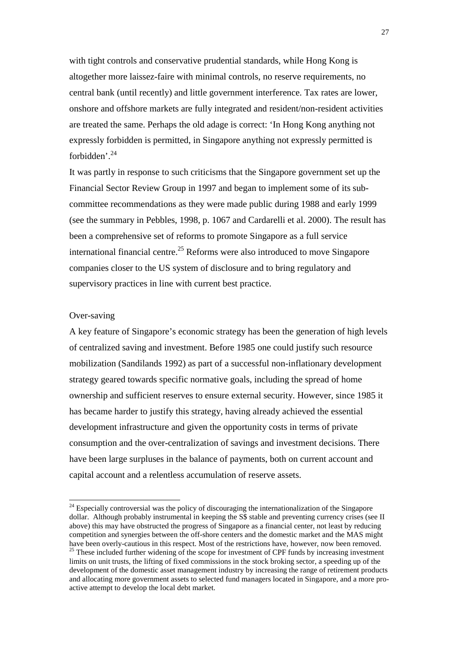with tight controls and conservative prudential standards, while Hong Kong is altogether more laissez-faire with minimal controls, no reserve requirements, no central bank (until recently) and little government interference. Tax rates are lower, onshore and offshore markets are fully integrated and resident/non-resident activities are treated the same. Perhaps the old adage is correct: 'In Hong Kong anything not expressly forbidden is permitted, in Singapore anything not expressly permitted is forbidden'.<sup>24</sup>

It was partly in response to such criticisms that the Singapore government set up the Financial Sector Review Group in 1997 and began to implement some of its subcommittee recommendations as they were made public during 1988 and early 1999 (see the summary in Pebbles, 1998, p. 1067 and Cardarelli et al. 2000). The result has been a comprehensive set of reforms to promote Singapore as a full service international financial centre.<sup>25</sup> Reforms were also introduced to move Singapore companies closer to the US system of disclosure and to bring regulatory and supervisory practices in line with current best practice.

## Over-saving

l

A key feature of Singapore's economic strategy has been the generation of high levels of centralized saving and investment. Before 1985 one could justify such resource mobilization (Sandilands 1992) as part of a successful non-inflationary development strategy geared towards specific normative goals, including the spread of home ownership and sufficient reserves to ensure external security. However, since 1985 it has became harder to justify this strategy, having already achieved the essential development infrastructure and given the opportunity costs in terms of private consumption and the over-centralization of savings and investment decisions. There have been large surpluses in the balance of payments, both on current account and capital account and a relentless accumulation of reserve assets.

 $^{24}$  Especially controversial was the policy of discouraging the internationalization of the Singapore dollar. Although probably instrumental in keeping the S\$ stable and preventing currency crises (see II above) this may have obstructed the progress of Singapore as a financial center, not least by reducing competition and synergies between the off-shore centers and the domestic market and the MAS might have been overly-cautious in this respect. Most of the restrictions have, however, now been removed. <sup>25</sup> These included further widening of the scope for investment of CPF funds by increasing investment limits on unit trusts, the lifting of fixed commissions in the stock broking sector, a speeding up of the development of the domestic asset management industry by increasing the range of retirement products and allocating more government assets to selected fund managers located in Singapore, and a more proactive attempt to develop the local debt market.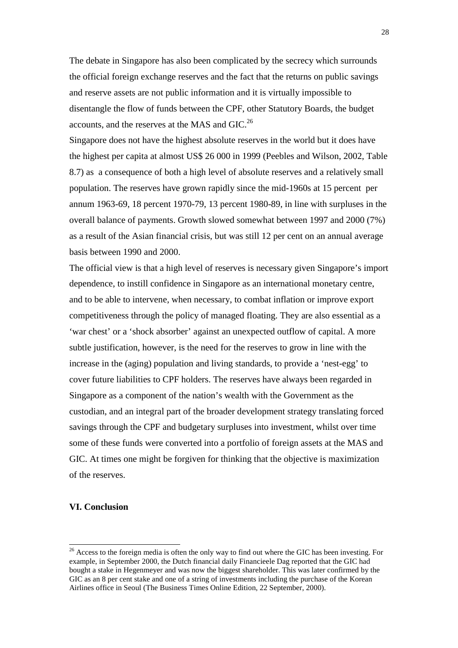The debate in Singapore has also been complicated by the secrecy which surrounds the official foreign exchange reserves and the fact that the returns on public savings and reserve assets are not public information and it is virtually impossible to disentangle the flow of funds between the CPF, other Statutory Boards, the budget accounts, and the reserves at the MAS and GIC.<sup>26</sup>

Singapore does not have the highest absolute reserves in the world but it does have the highest per capita at almost US\$ 26 000 in 1999 (Peebles and Wilson, 2002, Table 8.7) as a consequence of both a high level of absolute reserves and a relatively small population. The reserves have grown rapidly since the mid-1960s at 15 percent per annum 1963-69, 18 percent 1970-79, 13 percent 1980-89, in line with surpluses in the overall balance of payments. Growth slowed somewhat between 1997 and 2000 (7%) as a result of the Asian financial crisis, but was still 12 per cent on an annual average basis between 1990 and 2000.

The official view is that a high level of reserves is necessary given Singapore's import dependence, to instill confidence in Singapore as an international monetary centre, and to be able to intervene, when necessary, to combat inflation or improve export competitiveness through the policy of managed floating. They are also essential as a 'war chest' or a 'shock absorber' against an unexpected outflow of capital. A more subtle justification, however, is the need for the reserves to grow in line with the increase in the (aging) population and living standards, to provide a 'nest-egg' to cover future liabilities to CPF holders. The reserves have always been regarded in Singapore as a component of the nation's wealth with the Government as the custodian, and an integral part of the broader development strategy translating forced savings through the CPF and budgetary surpluses into investment, whilst over time some of these funds were converted into a portfolio of foreign assets at the MAS and GIC. At times one might be forgiven for thinking that the objective is maximization of the reserves.

## **VI. Conclusion**

<sup>&</sup>lt;sup>26</sup> Access to the foreign media is often the only way to find out where the GIC has been investing. For example, in September 2000, the Dutch financial daily Financieele Dag reported that the GIC had bought a stake in Hegenmeyer and was now the biggest shareholder. This was later confirmed by the GIC as an 8 per cent stake and one of a string of investments including the purchase of the Korean Airlines office in Seoul (The Business Times Online Edition, 22 September, 2000).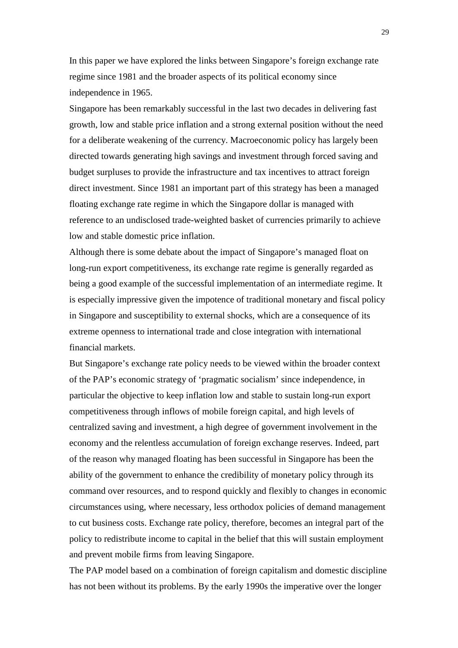In this paper we have explored the links between Singapore's foreign exchange rate regime since 1981 and the broader aspects of its political economy since independence in 1965.

Singapore has been remarkably successful in the last two decades in delivering fast growth, low and stable price inflation and a strong external position without the need for a deliberate weakening of the currency. Macroeconomic policy has largely been directed towards generating high savings and investment through forced saving and budget surpluses to provide the infrastructure and tax incentives to attract foreign direct investment. Since 1981 an important part of this strategy has been a managed floating exchange rate regime in which the Singapore dollar is managed with reference to an undisclosed trade-weighted basket of currencies primarily to achieve low and stable domestic price inflation.

Although there is some debate about the impact of Singapore's managed float on long-run export competitiveness, its exchange rate regime is generally regarded as being a good example of the successful implementation of an intermediate regime. It is especially impressive given the impotence of traditional monetary and fiscal policy in Singapore and susceptibility to external shocks, which are a consequence of its extreme openness to international trade and close integration with international financial markets.

But Singapore's exchange rate policy needs to be viewed within the broader context of the PAP's economic strategy of 'pragmatic socialism' since independence, in particular the objective to keep inflation low and stable to sustain long-run export competitiveness through inflows of mobile foreign capital, and high levels of centralized saving and investment, a high degree of government involvement in the economy and the relentless accumulation of foreign exchange reserves. Indeed, part of the reason why managed floating has been successful in Singapore has been the ability of the government to enhance the credibility of monetary policy through its command over resources, and to respond quickly and flexibly to changes in economic circumstances using, where necessary, less orthodox policies of demand management to cut business costs. Exchange rate policy, therefore, becomes an integral part of the policy to redistribute income to capital in the belief that this will sustain employment and prevent mobile firms from leaving Singapore.

The PAP model based on a combination of foreign capitalism and domestic discipline has not been without its problems. By the early 1990s the imperative over the longer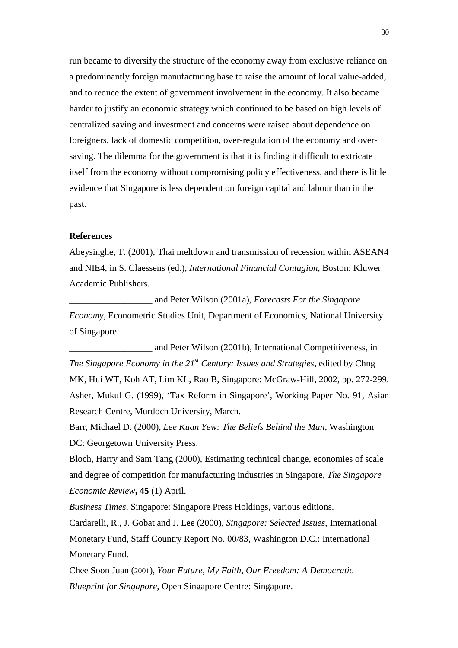run became to diversify the structure of the economy away from exclusive reliance on a predominantly foreign manufacturing base to raise the amount of local value-added, and to reduce the extent of government involvement in the economy. It also became harder to justify an economic strategy which continued to be based on high levels of centralized saving and investment and concerns were raised about dependence on foreigners, lack of domestic competition, over-regulation of the economy and oversaving. The dilemma for the government is that it is finding it difficult to extricate itself from the economy without compromising policy effectiveness, and there is little evidence that Singapore is less dependent on foreign capital and labour than in the past.

## **References**

Abeysinghe, T. (2001), Thai meltdown and transmission of recession within ASEAN4 and NIE4, in S. Claessens (ed.), *International Financial Contagion*, Boston: Kluwer Academic Publishers.

\_\_\_\_\_\_\_\_\_\_\_\_\_\_\_\_\_\_ and Peter Wilson (2001a), *Forecasts For the Singapore Economy*, Econometric Studies Unit, Department of Economics, National University of Singapore.

\_\_\_\_\_\_\_\_\_\_\_\_\_\_\_\_\_\_ and Peter Wilson (2001b), International Competitiveness, in *The Singapore Economy in the 21st Century: Issues and Strategies,* edited by Chng MK, Hui WT, Koh AT, Lim KL, Rao B, Singapore: McGraw-Hill, 2002, pp. 272-299. Asher, Mukul G. (1999), 'Tax Reform in Singapore', Working Paper No. 91, Asian Research Centre, Murdoch University, March.

Barr, Michael D. (2000), *Lee Kuan Yew: The Beliefs Behind the Man*, Washington DC: Georgetown University Press.

Bloch, Harry and Sam Tang (2000), Estimating technical change, economies of scale and degree of competition for manufacturing industries in Singapore, *The Singapore Economic Review***, 45** (1) April.

*Business Times*, Singapore: Singapore Press Holdings, various editions.

Cardarelli, R., J. Gobat and J. Lee (2000), *Singapore: Selected Issues*, International Monetary Fund, Staff Country Report No. 00/83, Washington D.C.: International Monetary Fund.

Chee Soon Juan (2001), *Your Future, My Faith, Our Freedom: A Democratic Blueprint f*or *Singapore*, Open Singapore Centre: Singapore.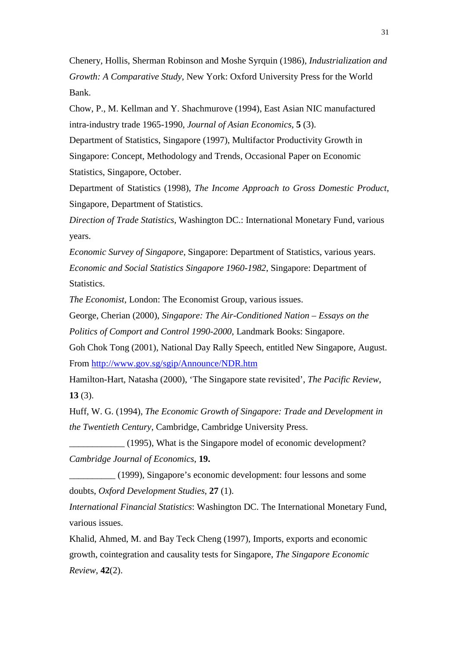Chenery, Hollis, Sherman Robinson and Moshe Syrquin (1986), *Industrialization and Growth: A Comparative Study*, New York: Oxford University Press for the World Bank.

Chow, P., M. Kellman and Y. Shachmurove (1994), East Asian NIC manufactured intra-industry trade 1965-1990, *Journal of Asian Economics*, **5** (3).

Department of Statistics, Singapore (1997), Multifactor Productivity Growth in Singapore: Concept, Methodology and Trends, Occasional Paper on Economic Statistics, Singapore, October.

Department of Statistics (1998), *The Income Approach to Gross Domestic Product*, Singapore, Department of Statistics.

*Direction of Trade Statistics*, Washington DC.: International Monetary Fund, various years.

*Economic Survey of Singapore*, Singapore: Department of Statistics, various years. *Economic and Social Statistics Singapore 1960-1982*, Singapore: Department of **Statistics.** 

*The Economist*, London: The Economist Group, various issues.

George, Cherian (2000), *Singapore: The Air-Conditioned Nation – Essays on the Politics of Comport and Control 1990-2000*, Landmark Books: Singapore.

Goh Chok Tong (2001), National Day Rally Speech, entitled New Singapore, August. From http://www.gov.sg/sgip/Announce/NDR.htm

Hamilton-Hart, Natasha (2000), 'The Singapore state revisited', *The Pacific Review*, **13** (3).

Huff, W. G. (1994), *The Economic Growth of Singapore: Trade and Development in the Twentieth Century*, Cambridge, Cambridge University Press.

\_\_\_\_\_\_\_\_\_\_\_\_ (1995), What is the Singapore model of economic development? *Cambridge Journal of Economics*, **19.**

\_\_\_\_\_\_\_\_\_\_ (1999), Singapore's economic development: four lessons and some doubts, *Oxford Development Studies*, **27** (1).

*International Financial Statistics*: Washington DC. The International Monetary Fund, various issues.

Khalid, Ahmed, M. and Bay Teck Cheng (1997), Imports, exports and economic growth, cointegration and causality tests for Singapore, *The Singapore Economic Review*, **42**(2).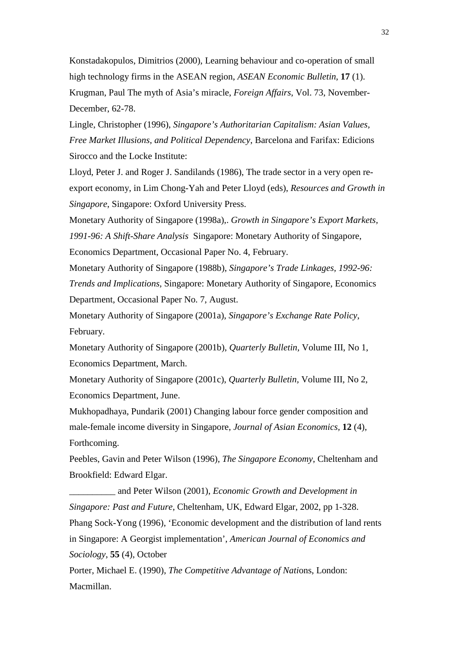Konstadakopulos, Dimitrios (2000), Learning behaviour and co-operation of small high technology firms in the ASEAN region, *ASEAN Economic Bulletin*, **17** (1). Krugman, Paul The myth of Asia's miracle, *Foreign Affairs*, Vol. 73, November-December, 62-78.

Lingle, Christopher (1996), *Singapore's Authoritarian Capitalism: Asian Values, Free Market Illusions, and Political Dependency*, Barcelona and Farifax: Edicions Sirocco and the Locke Institute:

Lloyd, Peter J. and Roger J. Sandilands (1986), The trade sector in a very open reexport economy, in Lim Chong-Yah and Peter Lloyd (eds), *Resources and Growth in Singapore*, Singapore: Oxford University Press.

Monetary Authority of Singapore (1998a),. *Growth in Singapore's Export Markets, 1991-96: A Shift-Share Analysis* Singapore: Monetary Authority of Singapore, Economics Department, Occasional Paper No. 4, February.

Monetary Authority of Singapore (1988b), *Singapore's Trade Linkages, 1992-96: Trends and Implications,* Singapore: Monetary Authority of Singapore, Economics Department, Occasional Paper No. 7, August.

Monetary Authority of Singapore (2001a), *Singapore's Exchange Rate Policy*, February.

Monetary Authority of Singapore (2001b), *Quarterly Bulletin,* Volume III, No 1, Economics Department, March.

Monetary Authority of Singapore (2001c), *Quarterly Bulletin,* Volume III, No 2, Economics Department, June.

Mukhopadhaya, Pundarik (2001) Changing labour force gender composition and male-female income diversity in Singapore, *Journal of Asian Economics,* **12** (4), Forthcoming.

Peebles, Gavin and Peter Wilson (1996), *The Singapore Economy*, Cheltenham and Brookfield: Edward Elgar.

\_\_\_\_\_\_\_\_\_\_ and Peter Wilson (2001), *Economic Growth and Development in Singapore: Past and Future*, Cheltenham, UK, Edward Elgar, 2002, pp 1-328. Phang Sock-Yong (1996), 'Economic development and the distribution of land rents in Singapore: A Georgist implementation', *American Journal of Economics and Sociology*, **55** (4), October

Porter, Michael E. (1990), *The Competitive Advantage of Nati*ons, London: Macmillan.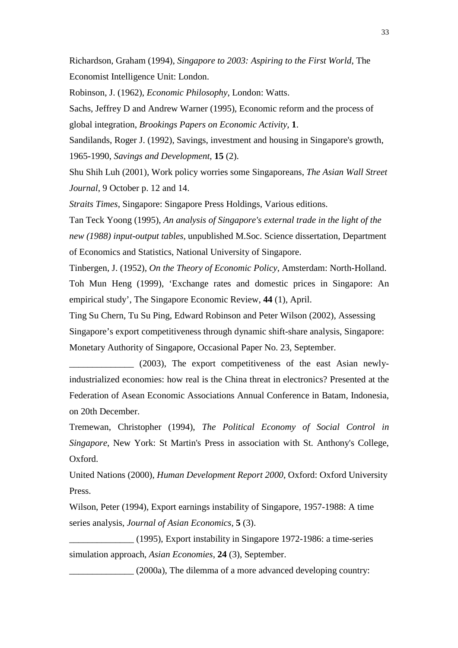Richardson, Graham (1994), *Singapore to 2003: Aspiring to the First World*, The Economist Intelligence Unit: London.

Robinson, J. (1962), *Economic Philosophy*, London: Watts.

Sachs, Jeffrey D and Andrew Warner (1995), Economic reform and the process of global integration, *Brookings Papers on Economic Activity*, **1**.

Sandilands, Roger J. (1992), Savings, investment and housing in Singapore's growth, 1965-1990, *Savings and Development*, **15** (2).

Shu Shih Luh (2001), Work policy worries some Singaporeans, *The Asian Wall Street Journal*, 9 October p. 12 and 14.

*Straits Times*, Singapore: Singapore Press Holdings, Various editions.

Tan Teck Yoong (1995), *An analysis of Singapore's external trade in the light of the new (1988) input-output tables,* unpublished M.Soc. Science dissertation, Department of Economics and Statistics, National University of Singapore.

Tinbergen, J. (1952), *On the Theory of Economic Policy*, Amsterdam: North-Holland. Toh Mun Heng (1999), 'Exchange rates and domestic prices in Singapore: An empirical study', The Singapore Economic Review, **44** (1), April.

Ting Su Chern, Tu Su Ping, Edward Robinson and Peter Wilson (2002), Assessing Singapore's export competitiveness through dynamic shift-share analysis, Singapore: Monetary Authority of Singapore, Occasional Paper No. 23, September.

\_\_\_\_\_\_\_\_\_\_\_\_\_\_ (2003), The export competitiveness of the east Asian newlyindustrialized economies: how real is the China threat in electronics? Presented at the Federation of Asean Economic Associations Annual Conference in Batam, Indonesia, on 20th December.

Tremewan, Christopher (1994), *The Political Economy of Social Control in Singapore*, New York: St Martin's Press in association with St. Anthony's College, Oxford.

United Nations (2000), *Human Development Report 2000*, Oxford: Oxford University Press.

Wilson, Peter (1994), Export earnings instability of Singapore, 1957-1988: A time series analysis, *Journal of Asian Economics*, **5** (3).

\_\_\_\_\_\_\_\_\_\_\_\_\_\_ (1995), Export instability in Singapore 1972-1986: a time-series simulation approach, *Asian Economies*, **24** (3), September.

\_\_\_\_\_\_\_\_\_\_\_\_\_\_ (2000a), The dilemma of a more advanced developing country: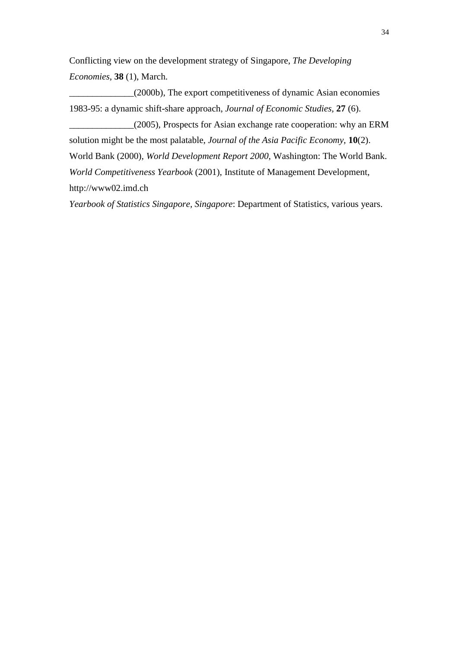Conflicting view on the development strategy of Singapore, *The Developing Economies*, **38** (1), March.

\_\_\_\_\_\_\_\_\_\_\_\_\_\_(2000b), The export competitiveness of dynamic Asian economies 1983-95: a dynamic shift-share approach, *Journal of Economic Studies,* **27** (6).

\_\_\_\_\_\_\_\_\_\_\_\_\_\_(2005), Prospects for Asian exchange rate cooperation: why an ERM solution might be the most palatable, *Journal of the Asia Pacific Economy*, **10**(2). World Bank (2000), *World Development Report 2000*, Washington: The World Bank. *World Competitiveness Yearbook* (2001), Institute of Management Development, http://www02.imd.ch

*Yearbook of Statistics Singapore, Singapore*: Department of Statistics, various years.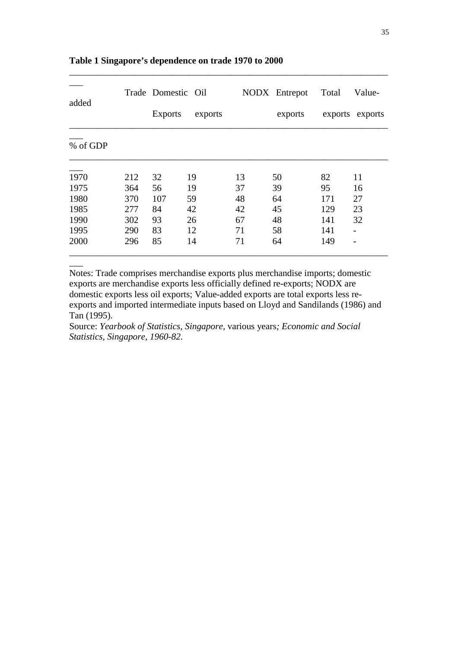|          | Trade Domestic Oil |                |         | NODX Entrepot | Total   | Value- |                 |
|----------|--------------------|----------------|---------|---------------|---------|--------|-----------------|
| added    |                    | <b>Exports</b> | exports |               | exports |        | exports exports |
| % of GDP |                    |                |         |               |         |        |                 |
| 1970     | 212                | 32             | 19      | 13            | 50      | 82     | 11              |
| 1975     | 364                | 56             | 19      | 37            | 39      | 95     | 16              |
| 1980     | 370                | 107            | 59      | 48            | 64      | 171    | 27              |
| 1985     | 277                | 84             | 42      | 42            | 45      | 129    | 23              |
| 1990     | 302                | 93             | 26      | 67            | 48      | 141    | 32              |
| 1995     | 290                | 83             | 12      | 71            | 58      | 141    |                 |
| 2000     | 296                | 85             | 14      | 71            | 64      | 149    |                 |

\_\_\_\_\_\_\_\_\_\_\_\_\_\_\_\_\_\_\_\_\_\_\_\_\_\_\_\_\_\_\_\_\_\_\_\_\_\_\_\_\_\_\_\_\_\_\_\_\_\_\_\_\_\_\_\_\_\_\_\_\_\_\_\_\_\_\_\_\_

## **Table 1 Singapore's dependence on trade 1970 to 2000**

 $\overline{\phantom{a}}$ 

Notes: Trade comprises merchandise exports plus merchandise imports; domestic exports are merchandise exports less officially defined re-exports; NODX are domestic exports less oil exports; Value-added exports are total exports less reexports and imported intermediate inputs based on Lloyd and Sandilands (1986) and Tan (1995).

Source: *Yearbook of Statistics, Singapore,* various years*; Economic and Social Statistics, Singapore, 1960-82*.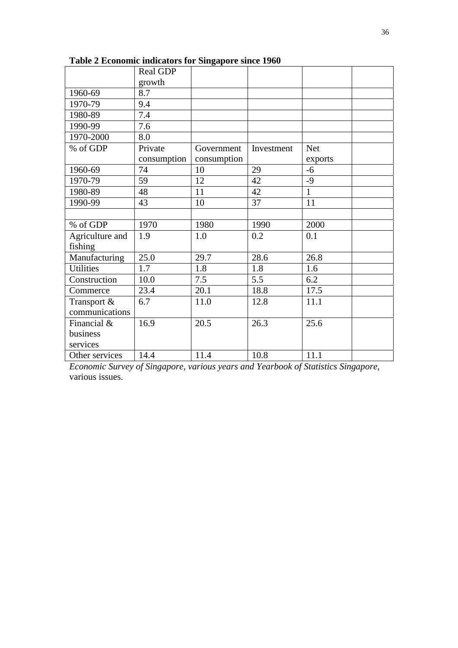|                  | Real GDP    |             |            |              |  |
|------------------|-------------|-------------|------------|--------------|--|
|                  | growth      |             |            |              |  |
| 1960-69          | 8.7         |             |            |              |  |
| 1970-79          | 9.4         |             |            |              |  |
| 1980-89          | 7.4         |             |            |              |  |
| 1990-99          | 7.6         |             |            |              |  |
| 1970-2000        | 8.0         |             |            |              |  |
| % of GDP         | Private     | Government  | Investment | <b>Net</b>   |  |
|                  | consumption | consumption |            | exports      |  |
| 1960-69          | 74          | 10          | 29         | $-6$         |  |
| 1970-79          | 59          | 12          | 42         | -9           |  |
| 1980-89          | 48          | 11          | 42         | $\mathbf{1}$ |  |
| 1990-99          | 43          | 10          | 37         | 11           |  |
|                  |             |             |            |              |  |
| % of GDP         | 1970        | 1980        | 1990       | 2000         |  |
| Agriculture and  | 1.9         | 1.0         | 0.2        | 0.1          |  |
| fishing          |             |             |            |              |  |
| Manufacturing    | 25.0        | 29.7        | 28.6       | 26.8         |  |
| <b>Utilities</b> | 1.7         | 1.8         | 1.8        | 1.6          |  |
| Construction     | 10.0        | 7.5         | 5.5        | 6.2          |  |
| Commerce         | 23.4        | 20.1        | 18.8       | 17.5         |  |
| Transport &      | 6.7         | 11.0        | 12.8       | 11.1         |  |
| communications   |             |             |            |              |  |
| Financial &      | 16.9        | 20.5        | 26.3       | 25.6         |  |
| business         |             |             |            |              |  |
| services         |             |             |            |              |  |
| Other services   | 14.4        | 11.4        | 10.8       | 11.1         |  |

**Table 2 Economic indicators for Singapore since 1960** 

*Economic Survey of Singapore, various years and Yearbook of Statistics Singapore*, various issues.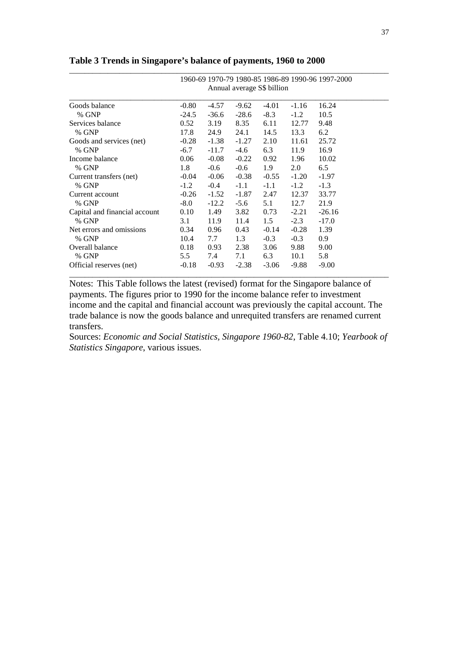|                               | 1960-69 1970-79 1980-85 1986-89 1990-96 1997-2000<br>Annual average S\$ billion |         |         |         |         |          |  |
|-------------------------------|---------------------------------------------------------------------------------|---------|---------|---------|---------|----------|--|
|                               |                                                                                 |         |         |         |         |          |  |
| Goods balance                 | $-0.80$                                                                         | -4.57   | $-9.62$ | $-4.01$ | $-1.16$ | 16.24    |  |
| % GNP                         | $-24.5$                                                                         | $-36.6$ | $-28.6$ | $-8.3$  | $-1.2$  | 10.5     |  |
| Services balance              | 0.52                                                                            | 3.19    | 8.35    | 6.11    | 12.77   | 9.48     |  |
| % GNP                         | 17.8                                                                            | 24.9    | 24.1    | 14.5    | 13.3    | 6.2      |  |
| Goods and services (net)      | $-0.28$                                                                         | $-1.38$ | $-1.27$ | 2.10    | 11.61   | 25.72    |  |
| % GNP                         | $-6.7$                                                                          | $-11.7$ | $-4.6$  | 6.3     | 11.9    | 16.9     |  |
| Income balance                | 0.06                                                                            | $-0.08$ | $-0.22$ | 0.92    | 1.96    | 10.02    |  |
| % GNP                         | 1.8                                                                             | $-0.6$  | $-0.6$  | 1.9     | 2.0     | 6.5      |  |
| Current transfers (net)       | $-0.04$                                                                         | $-0.06$ | $-0.38$ | $-0.55$ | $-1.20$ | $-1.97$  |  |
| % GNP                         | $-1.2$                                                                          | $-0.4$  | $-1.1$  | $-1.1$  | $-1.2$  | $-1.3$   |  |
| Current account               | $-0.26$                                                                         | $-1.52$ | $-1.87$ | 2.47    | 12.37   | 33.77    |  |
| % GNP                         | $-8.0$                                                                          | $-12.2$ | $-5.6$  | 5.1     | 12.7    | 21.9     |  |
| Capital and financial account | 0.10                                                                            | 1.49    | 3.82    | 0.73    | $-2.21$ | $-26.16$ |  |
| % GNP                         | 3.1                                                                             | 11.9    | 11.4    | 1.5     | $-2.3$  | $-17.0$  |  |
| Net errors and omissions      | 0.34                                                                            | 0.96    | 0.43    | $-0.14$ | $-0.28$ | 1.39     |  |
| % GNP                         | 10.4                                                                            | 7.7     | 1.3     | $-0.3$  | $-0.3$  | 0.9      |  |
| Overall balance               | 0.18                                                                            | 0.93    | 2.38    | 3.06    | 9.88    | 9.00     |  |
| % GNP                         | 5.5                                                                             | 7.4     | 7.1     | 6.3     | 10.1    | 5.8      |  |
| Official reserves (net)       | $-0.18$                                                                         | $-0.93$ | $-2.38$ | $-3.06$ | $-9.88$ | $-9.00$  |  |

**Table 3 Trends in Singapore's balance of payments, 1960 to 2000** 

Notes: This Table follows the latest (revised) format for the Singapore balance of payments. The figures prior to 1990 for the income balance refer to investment income and the capital and financial account was previously the capital account. The trade balance is now the goods balance and unrequited transfers are renamed current transfers.

Sources: *Economic and Social Statistics, Singapore 1960-82*, Table 4.10; *Yearbook of Statistics Singapore*, various issues.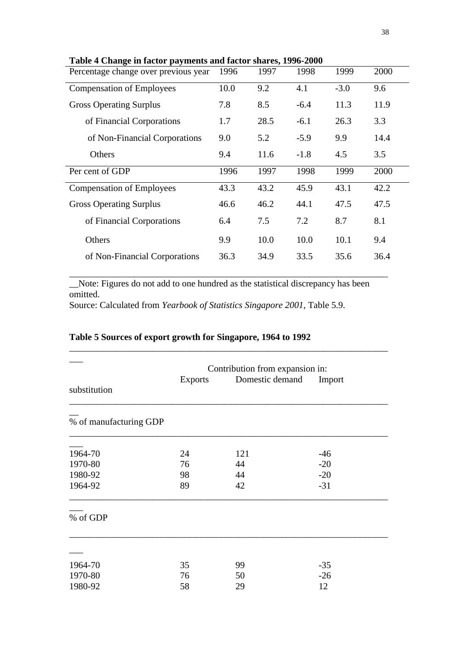| Percentage change over previous year | 1996 | 1997 | 1998   | 1999   | 2000 |
|--------------------------------------|------|------|--------|--------|------|
| <b>Compensation of Employees</b>     | 10.0 | 9.2  | 4.1    | $-3.0$ | 9.6  |
| <b>Gross Operating Surplus</b>       | 7.8  | 8.5  | $-6.4$ | 11.3   | 11.9 |
| of Financial Corporations            | 1.7  | 28.5 | $-6.1$ | 26.3   | 3.3  |
| of Non-Financial Corporations        | 9.0  | 5.2  | $-5.9$ | 9.9    | 14.4 |
| Others                               | 9.4  | 11.6 | $-1.8$ | 4.5    | 3.5  |
| Per cent of GDP                      | 1996 | 1997 | 1998   | 1999   | 2000 |
| <b>Compensation of Employees</b>     | 43.3 | 43.2 | 45.9   | 43.1   | 42.2 |
| <b>Gross Operating Surplus</b>       | 46.6 | 46.2 | 44.1   | 47.5   | 47.5 |
| of Financial Corporations            | 6.4  | 7.5  | 7.2    | 8.7    | 8.1  |
| Others                               | 9.9  | 10.0 | 10.0   | 10.1   | 9.4  |
| of Non-Financial Corporations        | 36.3 | 34.9 | 33.5   | 35.6   | 36.4 |

**Table 4 Change in factor payments and factor shares, 1996-2000** 

\_\_Note: Figures do not add to one hundred as the statistical discrepancy has been omitted.

\_\_\_\_\_\_\_\_\_\_\_\_\_\_\_\_\_\_\_\_\_\_\_\_\_\_\_\_\_\_\_\_\_\_\_\_\_\_\_\_\_\_\_\_\_\_\_\_\_\_\_\_\_\_\_\_\_\_\_\_\_\_\_\_\_\_\_\_\_

Source: Calculated from *Yearbook of Statistics Singapore 2001*, Table 5.9.

## **Table 5 Sources of export growth for Singapore, 1964 to 1992**

|                        | Contribution from expansion in: |                 |        |  |  |  |  |
|------------------------|---------------------------------|-----------------|--------|--|--|--|--|
| substitution           | <b>Exports</b>                  | Domestic demand | Import |  |  |  |  |
| % of manufacturing GDP |                                 |                 |        |  |  |  |  |
| 1964-70                | 24                              | 121             | $-46$  |  |  |  |  |
| 1970-80                | 76                              | 44              | $-20$  |  |  |  |  |
| 1980-92                | 98                              | 44              | $-20$  |  |  |  |  |
| 1964-92                | 89                              | 42              | $-31$  |  |  |  |  |
| % of GDP               |                                 |                 |        |  |  |  |  |
|                        |                                 |                 |        |  |  |  |  |
| 1964-70                | 35                              | 99              | $-35$  |  |  |  |  |
| 1970-80                | 76                              | 50              | $-26$  |  |  |  |  |
| 1980-92                | 58                              | 29              | 12     |  |  |  |  |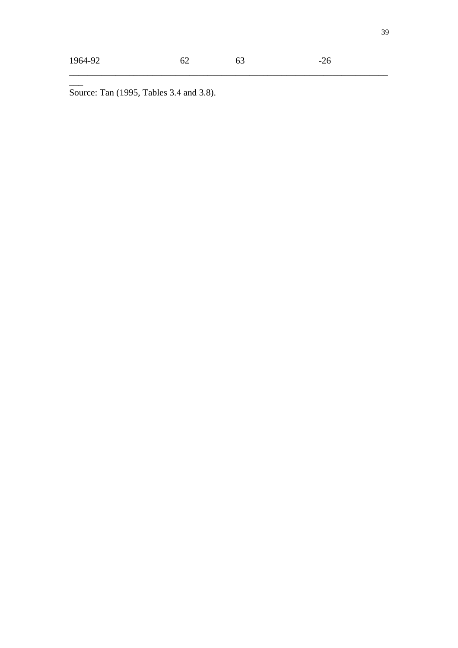$\overline{\phantom{a}}$ 

\_\_\_\_\_\_\_\_\_\_\_\_\_\_\_\_\_\_\_\_\_\_\_\_\_\_\_\_\_\_\_\_\_\_\_\_\_\_\_\_\_\_\_\_\_\_\_\_\_\_\_\_\_\_\_\_\_\_\_\_\_\_\_\_\_\_\_\_\_

Source: Tan (1995, Tables 3.4 and 3.8).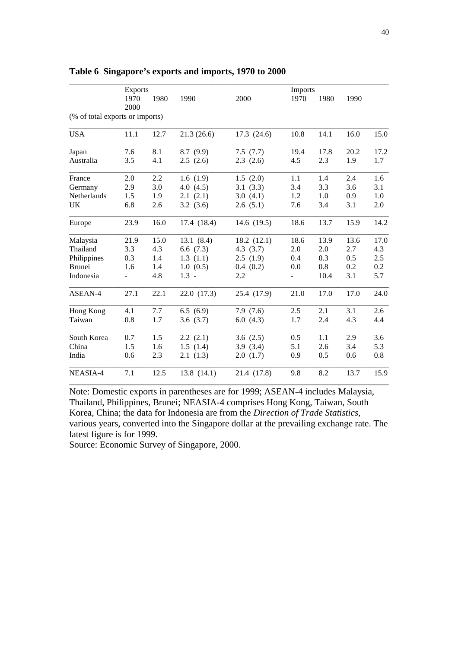|                                 | <b>Exports</b> |      |             |             | Imports |      |      |      |
|---------------------------------|----------------|------|-------------|-------------|---------|------|------|------|
|                                 | 1970           | 1980 | 1990        | 2000        | 1970    | 1980 | 1990 |      |
|                                 | 2000           |      |             |             |         |      |      |      |
| (% of total exports or imports) |                |      |             |             |         |      |      |      |
| <b>USA</b>                      | 11.1           | 12.7 | 21.3(26.6)  | 17.3(24.6)  | 10.8    | 14.1 | 16.0 | 15.0 |
| Japan                           | 7.6            | 8.1  | 8.7(9.9)    | 7.5(7.7)    | 19.4    | 17.8 | 20.2 | 17.2 |
| Australia                       | 3.5            | 4.1  | 2.5(2.6)    | 2.3(2.6)    | 4.5     | 2.3  | 1.9  | 1.7  |
| France                          | 2.0            | 2.2  | 1.6(1.9)    | 1.5(2.0)    | 1.1     | 1.4  | 2.4  | 1.6  |
| Germany                         | 2.9            | 3.0  | 4.0(4.5)    | 3.1(3.3)    | 3.4     | 3.3  | 3.6  | 3.1  |
| Netherlands                     | 1.5            | 1.9  | 2.1(2.1)    | 3.0(4.1)    | 1.2     | 1.0  | 0.9  | 1.0  |
| UK                              | 6.8            | 2.6  | 3.2(3.6)    | 2.6(5.1)    | 7.6     | 3.4  | 3.1  | 2.0  |
| Europe                          | 23.9           | 16.0 | 17.4 (18.4) | 14.6 (19.5) | 18.6    | 13.7 | 15.9 | 14.2 |
| Malaysia                        | 21.9           | 15.0 | 13.1(8.4)   | 18.2(12.1)  | 18.6    | 13.9 | 13.6 | 17.0 |
| Thailand                        | 3.3            | 4.3  | 6.6(7.3)    | 4.3(3.7)    | 2.0     | 2.0  | 2.7  | 4.3  |
| Philippines                     | 0.3            | 1.4  | 1.3(1.1)    | 2.5(1.9)    | 0.4     | 0.3  | 0.5  | 2.5  |
| <b>Brunei</b>                   | 1.6            | 1.4  | 1.0(0.5)    | 0.4(0.2)    | 0.0     | 0.8  | 0.2  | 0.2  |
| Indonesia                       | ÷              | 4.8  | $1.3 -$     | 2.2         |         | 10.4 | 3.1  | 5.7  |
| ASEAN-4                         | 27.1           | 22.1 | 22.0 (17.3) | 25.4 (17.9) | 21.0    | 17.0 | 17.0 | 24.0 |
| Hong Kong                       | 4.1            | 7.7  | 6.5(6.9)    | 7.9(7.6)    | 2.5     | 2.1  | 3.1  | 2.6  |
| Taiwan                          | 0.8            | 1.7  | 3.6(3.7)    | 6.0(4.3)    | 1.7     | 2.4  | 4.3  | 4.4  |
| South Korea                     | 0.7            | 1.5  | 2.2(2.1)    | 3.6(2.5)    | 0.5     | 1.1  | 2.9  | 3.6  |
| China                           | 1.5            | 1.6  | 1.5(1.4)    | 3.9(3.4)    | 5.1     | 2.6  | 3.4  | 5.3  |
| India                           | 0.6            | 2.3  | 2.1(1.3)    | 2.0(1.7)    | 0.9     | 0.5  | 0.6  | 0.8  |
| NEASIA-4                        | 7.1            | 12.5 | 13.8(14.1)  | 21.4 (17.8) | 9.8     | 8.2  | 13.7 | 15.9 |

## **Table 6 Singapore's exports and imports, 1970 to 2000**

Note: Domestic exports in parentheses are for 1999; ASEAN-4 includes Malaysia, Thailand, Philippines, Brunei; NEASIA-4 comprises Hong Kong, Taiwan, South Korea, China; the data for Indonesia are from the *Direction of Trade Statistics*, various years, converted into the Singapore dollar at the prevailing exchange rate. The latest figure is for 1999.

Source: Economic Survey of Singapore, 2000.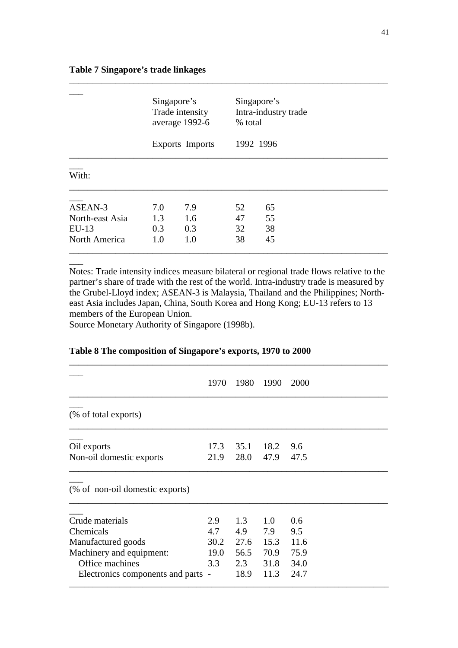|                 | Singapore's<br>Trade intensity<br>average 1992-6<br>Exports Imports |     |    | Singapore's<br>Intra-industry trade<br>% total<br>1992 1996 |  |  |  |
|-----------------|---------------------------------------------------------------------|-----|----|-------------------------------------------------------------|--|--|--|
| With:           |                                                                     |     |    |                                                             |  |  |  |
| ASEAN-3         | 7.0                                                                 | 7.9 | 52 | 65                                                          |  |  |  |
| North-east Asia | 1.3                                                                 | 1.6 | 47 | 55                                                          |  |  |  |
| $EU-13$         | 0.3                                                                 | 0.3 | 32 | 38                                                          |  |  |  |
| North America   | 1.0                                                                 | 1.0 | 38 | 45                                                          |  |  |  |

\_\_\_\_\_\_\_\_\_\_\_\_\_\_\_\_\_\_\_\_\_\_\_\_\_\_\_\_\_\_\_\_\_\_\_\_\_\_\_\_\_\_\_\_\_\_\_\_\_\_\_\_\_\_\_\_\_\_\_\_\_\_\_\_\_\_\_\_\_

## **Table 7 Singapore's trade linkages**

Notes: Trade intensity indices measure bilateral or regional trade flows relative to the partner's share of trade with the rest of the world. Intra-industry trade is measured by the Grubel-Lloyd index; ASEAN-3 is Malaysia, Thailand and the Philippines; Northeast Asia includes Japan, China, South Korea and Hong Kong; EU-13 refers to 13 members of the European Union.

\_\_\_\_\_\_\_\_\_\_\_\_\_\_\_\_\_\_\_\_\_\_\_\_\_\_\_\_\_\_\_\_\_\_\_\_\_\_\_\_\_\_\_\_\_\_\_\_\_\_\_\_\_\_\_\_\_\_\_\_\_\_\_\_\_\_\_\_\_

Source Monetary Authority of Singapore (1998b).

 $\overline{\phantom{a}}$ 

## **Table 8 The composition of Singapore's exports, 1970 to 2000**

|                                         | 1970         | 1980         | 1990         | 2000        |
|-----------------------------------------|--------------|--------------|--------------|-------------|
| (% of total exports)                    |              |              |              |             |
| Oil exports<br>Non-oil domestic exports | 17.3<br>21.9 | 35.1<br>28.0 | 18.2<br>47.9 | 9.6<br>47.5 |
| (% of non-oil domestic exports)         |              |              |              |             |
| Crude materials                         | 2.9          | 1.3          | 1.0          | 0.6         |
| Chemicals                               | 4.7          | 4.9          | 7.9          | 9.5         |
| Manufactured goods                      | 30.2         | 27.6         | 15.3         | 11.6        |
| Machinery and equipment:                | 19.0         | 56.5         | 70.9         | 75.9        |
| Office machines                         | 3.3          | 2.3          | 31.8         | 34.0        |
| Electronics components and parts -      |              | 18.9         | 11.3         | 24.7        |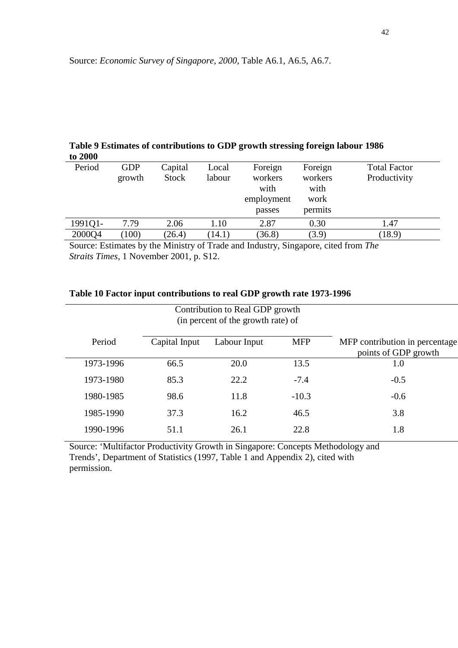## **Table 9 Estimates of contributions to GDP growth stressing foreign labour 1986 to 2000**

| Period  | <b>GDP</b><br>growth | Capital<br><b>Stock</b> | Local<br>labour | Foreign<br>workers<br>with<br>employment<br>passes | Foreign<br>workers<br>with<br>work<br>permits | <b>Total Factor</b><br>Productivity |
|---------|----------------------|-------------------------|-----------------|----------------------------------------------------|-----------------------------------------------|-------------------------------------|
| 1991Q1- | 7.79                 | 2.06                    | 1.10            | 2.87                                               | 0.30                                          | 1.47                                |
| 2000Q4  | 100)                 | (26.4)                  | 14.1)           | (36.8)                                             | (3.9)                                         | (18.9)                              |
|         |                      |                         |                 |                                                    |                                               |                                     |

Source: Estimates by the Ministry of Trade and Industry, Singapore, cited from *The Straits Times*, 1 November 2001, p. S12.

Contribution to Real GDP growth

## **Table 10 Factor input contributions to real GDP growth rate 1973-1996**

|           | (in percent of the growth rate) of |              |            |                                                        |
|-----------|------------------------------------|--------------|------------|--------------------------------------------------------|
| Period    | Capital Input                      | Labour Input | <b>MFP</b> | MFP contribution in percentage<br>points of GDP growth |
| 1973-1996 | 66.5                               | 20.0         | 13.5       | 1.0                                                    |
| 1973-1980 | 85.3                               | 22.2         | $-7.4$     | $-0.5$                                                 |
| 1980-1985 | 98.6                               | 11.8         | $-10.3$    | $-0.6$                                                 |
| 1985-1990 | 37.3                               | 16.2         | 46.5       | 3.8                                                    |
| 1990-1996 | 51.1                               | 26.1         | 22.8       | 1.8                                                    |

Source: 'Multifactor Productivity Growth in Singapore: Concepts Methodology and Trends', Department of Statistics (1997, Table 1 and Appendix 2), cited with permission.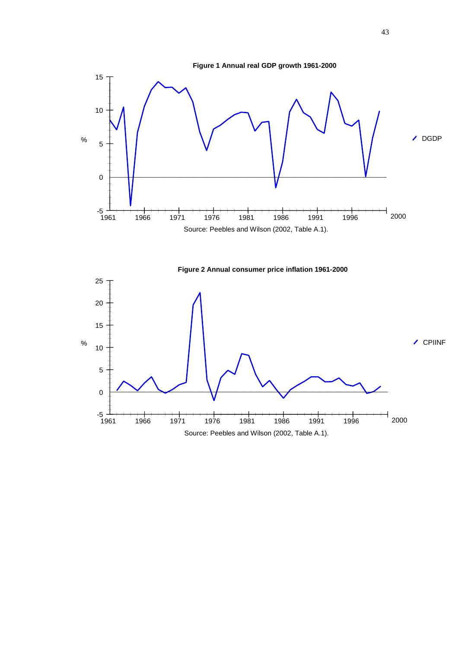

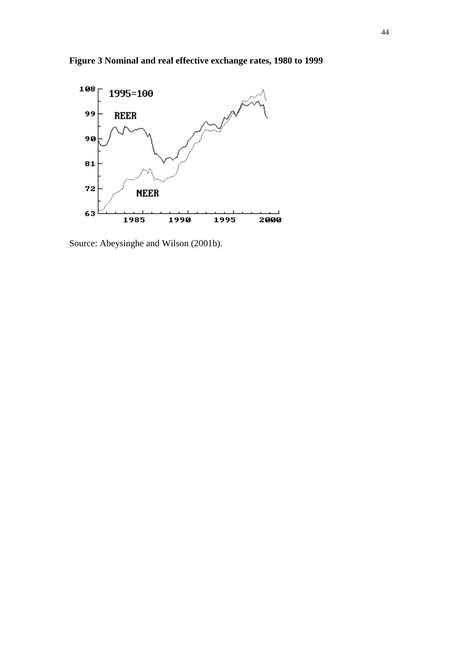



Source: Abeysinghe and Wilson (2001b).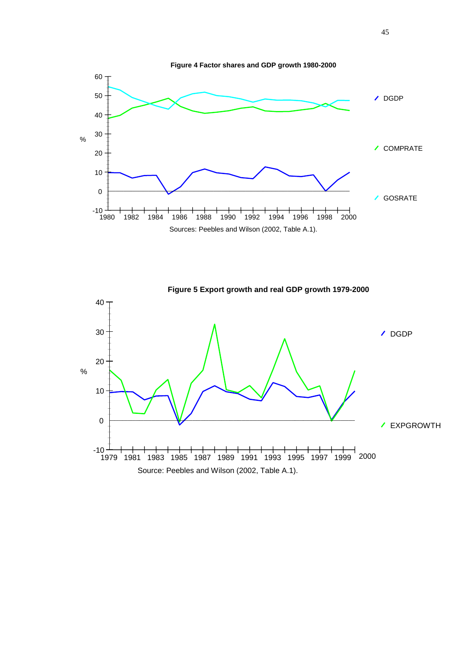

**Figure 5 Export growth and real GDP growth 1979-2000 / DGDP** EXPGROWTH % Source: Peebles and Wilson (2002, Table A.1). ــــك 10-<br>1979 0 10 20 30 40 1979 1981 1983 1985 1987 1989 1991 1993 1995 1997 1999 2000